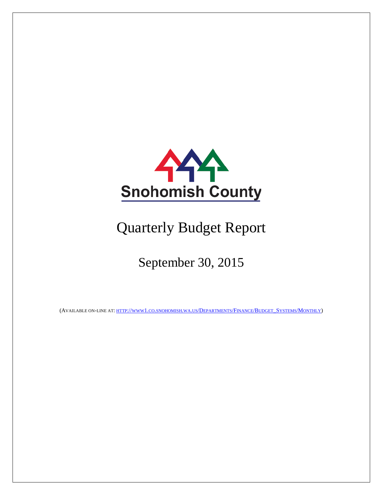

# Quarterly Budget Report

# September 30, 2015

(AVAILABLE ON-LINE AT: [HTTP://WWW1.CO.SNOHOMISH.WA.US/DEPARTMENTS/FINANCE/BUDGET\\_SYSTEMS/MONTHLY\)](http://www1.co.snohomish.wa.us/Departments/Finance/Budget_Systems/Monthly)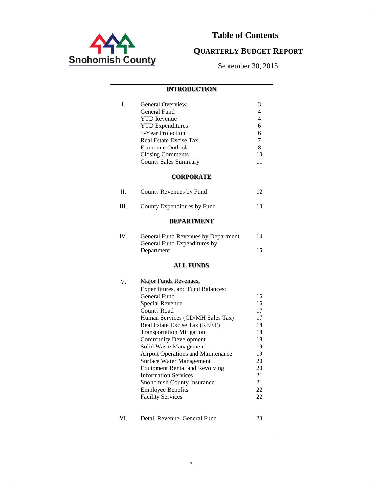

## **Table of Contents**

## **QUARTERLY BUDGET REPORT**

September 30, 2015

|     | <b>INTRODUCTION</b>                                                                                                                                                                                                                                                                                                                                                                                                                                                                                                          |                                                                                        |
|-----|------------------------------------------------------------------------------------------------------------------------------------------------------------------------------------------------------------------------------------------------------------------------------------------------------------------------------------------------------------------------------------------------------------------------------------------------------------------------------------------------------------------------------|----------------------------------------------------------------------------------------|
| I.  | <b>General Overview</b><br>General Fund<br><b>YTD</b> Revenue<br><b>YTD</b> Expenditures<br>5-Year Projection<br>Real Estate Excise Tax<br>Economic Outlook<br><b>Closing Comments</b><br><b>County Sales Summary</b>                                                                                                                                                                                                                                                                                                        | 3<br>4<br>$\overline{4}$<br>6<br>6<br>7<br>8<br>10<br>11                               |
|     | <b>CORPORATE</b>                                                                                                                                                                                                                                                                                                                                                                                                                                                                                                             |                                                                                        |
| H.  | County Revenues by Fund                                                                                                                                                                                                                                                                                                                                                                                                                                                                                                      | 12                                                                                     |
| Ш.  | County Expenditures by Fund                                                                                                                                                                                                                                                                                                                                                                                                                                                                                                  | 13                                                                                     |
|     | <b>DEPARTMENT</b>                                                                                                                                                                                                                                                                                                                                                                                                                                                                                                            |                                                                                        |
| IV. | General Fund Revenues by Department<br>General Fund Expenditures by<br>Department                                                                                                                                                                                                                                                                                                                                                                                                                                            | 14<br>15                                                                               |
|     | <b>ALL FUNDS</b>                                                                                                                                                                                                                                                                                                                                                                                                                                                                                                             |                                                                                        |
| V.  | Major Funds Revenues,<br>Expenditures, and Fund Balances:<br>General Fund<br>Special Revenue<br><b>County Road</b><br>Human Services (CD/MH Sales Tax)<br>Real Estate Excise Tax (REET)<br><b>Transportation Mitigation</b><br><b>Community Development</b><br>Solid Waste Management<br>Airport Operations and Maintenance<br><b>Surface Water Management</b><br><b>Equipment Rental and Revolving</b><br><b>Information Services</b><br>Snohomish County Insurance<br><b>Employee Benefits</b><br><b>Facility Services</b> | 16<br>16<br>17<br>17<br>18<br>18<br>18<br>19<br>19<br>20<br>20<br>21<br>21<br>22<br>22 |
| VI. | Detail Revenue: General Fund                                                                                                                                                                                                                                                                                                                                                                                                                                                                                                 | 23                                                                                     |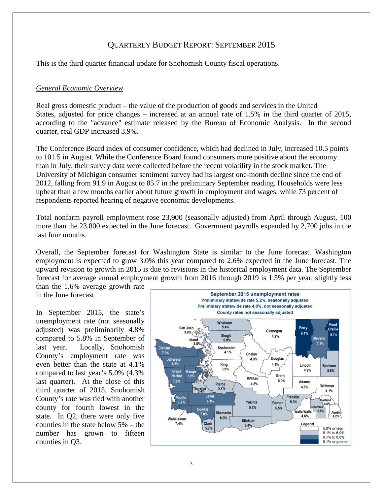#### QUARTERLY BUDGET REPORT: SEPTEMBER 2015

This is the third quarter financial update for Snohomish County fiscal operations.

#### *General Economic Overview*

Real gross domestic product – the value of the production of goods and services in the United States, adjusted for price changes – increased at an annual rate of 1.5% in the third quarter of 2015, according to the "advance" estimate released by the Bureau of Economic Analysis. In the second quarter, real GDP increased 3.9%.

The Conference Board index of consumer confidence, which had declined in July, increased 10.5 points to 101.5 in August. While the Conference Board found consumers more positive about the economy than in July, their survey data were collected before the recent volatility in the stock market. The University of Michigan consumer sentiment survey had its largest one-month decline since the end of 2012, falling from 91.9 in August to 85.7 in the preliminary September reading. Households were less upbeat than a few months earlier about future growth in employment and wages, while 73 percent of respondents reported hearing of negative economic developments.

Total nonfarm payroll employment rose 23,900 (seasonally adjusted) from April through August, 100 more than the 23,800 expected in the June forecast. Government payrolls expanded by 2,700 jobs in the last four months.

Overall, the September forecast for Washington State is similar to the June forecast. Washington employment is expected to grow 3.0% this year compared to 2.6% expected in the June forecast. The upward revision to growth in 2015 is due to revisions in the historical employment data. The September forecast for average annual employment growth from 2016 through 2019 is 1.5% per year, slightly less than the 1.6% average growth rate

in the June forecast.

In September 2015, the state's unemployment rate (not seasonally adjusted) was preliminarily 4.8% compared to 5.8% in September of last year. Locally, Snohomish County's employment rate was even better than the state at 4.1% compared to last year's 5.0% (4.3% last quarter). At the close of this third quarter of 2015, Snohomish County's rate was tied with another county for fourth lowest in the state. In Q2, there were only five counties in the state below 5% – the number has grown to fifteen counties in Q3.

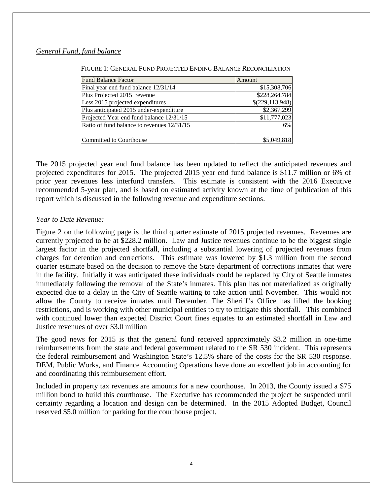#### *General Fund, fund balance*

| <b>Fund Balance Factor</b>                 | Amount          |
|--------------------------------------------|-----------------|
| Final year end fund balance 12/31/14       | \$15,308,706    |
| Plus Projected 2015 revenue                | \$228,264,784   |
| Less 2015 projected expenditures           | \$(229,113,948) |
| Plus anticipated 2015 under-expenditure    | \$2,367,299     |
| Projected Year end fund balance 12/31/15   | \$11,777,023    |
| Ratio of fund balance to revenues 12/31/15 | 6%              |
|                                            |                 |
| Committed to Courthouse                    | \$5,049,818     |

The 2015 projected year end fund balance has been updated to reflect the anticipated revenues and projected expenditures for 2015. The projected 2015 year end fund balance is \$11.7 million or 6% of prior year revenues less interfund transfers. This estimate is consistent with the 2016 Executive recommended 5-year plan, and is based on estimated activity known at the time of publication of this report which is discussed in the following revenue and expenditure sections.

#### *Year to Date Revenue:*

Figure 2 on the following page is the third quarter estimate of 2015 projected revenues. Revenues are currently projected to be at \$228.2 million. Law and Justice revenues continue to be the biggest single largest factor in the projected shortfall, including a substantial lowering of projected revenues from charges for detention and corrections. This estimate was lowered by \$1.3 million from the second quarter estimate based on the decision to remove the State department of corrections inmates that were in the facility. Initially it was anticipated these individuals could be replaced by City of Seattle inmates immediately following the removal of the State's inmates. This plan has not materialized as originally expected due to a delay in the City of Seattle waiting to take action until November. This would not allow the County to receive inmates until December. The Sheriff's Office has lifted the booking restrictions, and is working with other municipal entities to try to mitigate this shortfall. This combined with continued lower than expected District Court fines equates to an estimated shortfall in Law and Justice revenues of over \$3.0 million

The good news for 2015 is that the general fund received approximately \$3.2 million in one-time reimbursements from the state and federal government related to the SR 530 incident. This represents the federal reimbursement and Washington State's 12.5% share of the costs for the SR 530 response. DEM, Public Works, and Finance Accounting Operations have done an excellent job in accounting for and coordinating this reimbursement effort.

Included in property tax revenues are amounts for a new courthouse. In 2013, the County issued a \$75 million bond to build this courthouse. The Executive has recommended the project be suspended until certainty regarding a location and design can be determined. In the 2015 Adopted Budget, Council reserved \$5.0 million for parking for the courthouse project.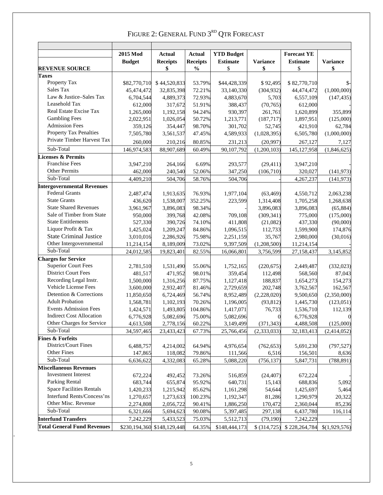|                                    | 2015 Mod      | Actual                      | Actual          | <b>YTD Budget</b> |                  | <b>Forecast YE</b> |                 |
|------------------------------------|---------------|-----------------------------|-----------------|-------------------|------------------|--------------------|-----------------|
|                                    | <b>Budget</b> | <b>Receipts</b>             | <b>Receipts</b> | <b>Estimate</b>   | <b>Variance</b>  | <b>Estimate</b>    | <b>Variance</b> |
| <b>REVENUE SOURCE</b>              |               | \$                          | $\frac{0}{0}$   | \$                | \$               | \$                 | \$              |
| <b>Taxes</b>                       |               |                             |                 |                   |                  |                    |                 |
| Property Tax                       | \$82,770,710  | \$44,520,833                | 53.79%          | \$44,428,339      | \$92,495         | \$82,770,710       | $\mathbb{S}$    |
| Sales Tax                          | 45,474,472    | 32,835,398                  | 72.21%          | 33,140,330        | (304, 932)       | 44,474,472         | (1,000,000)     |
| Law & Justice-Sales Tax            | 6,704,544     | 4,889,373                   | 72.93%          | 4,883,670         | 5,703            | 6,557,109          | (147, 435)      |
| Leasehold Tax                      | 612,000       | 317,672                     | 51.91%          | 388,437           | (70, 765)        | 612,000            |                 |
| Real Estate Excise Tax             | 1,265,000     | 1,192,158                   | 94.24%          | 930,397           | 261,761          | 1,620,899          | 355,899         |
| <b>Gambling Fees</b>               | 2,022,951     | 1,026,054                   | 50.72%          | 1,213,771         | (187, 717)       | 1,897,951          | (125,000)       |
| <b>Admission Fees</b>              | 359,126       | 354,447                     | 98.70%          | 301,702           | 52,745           | 421,910            | 62,784          |
| <b>Property Tax Penalties</b>      | 7,505,780     | 3,561,537                   | 47.45%          | 4,589,933         | (1,028,395)      | 6,505,780          | (1,000,000)     |
| Private Timber Harvest Tax         | 260,000       | 210,216                     | 80.85%          | 231,213           | (20,997)         | 267,127            | 7,127           |
| Sub-Total                          | 146,974,583   | 88,907,689                  | 60.49%          | 90,107,792        | (1,200,103)      | 145, 127, 958      | (1,846,625)     |
| <b>Licenses &amp; Permits</b>      |               |                             |                 |                   |                  |                    |                 |
| <b>Franchise Fees</b>              | 3,947,210     | 264,166                     | 6.69%           | 293,577           | (29, 411)        | 3,947,210          |                 |
| Other Permits                      | 462,000       | 240,540                     | 52.06%          | 347,250           | (106, 710)       | 320,027            | (141, 973)      |
| Sub-Total                          | 4,409,210     | 504,706                     | 58.76%          | 504,706           |                  | 4,267,237          | (141, 973)      |
| <b>Intergovernmental Revenues</b>  |               |                             |                 |                   |                  |                    |                 |
| <b>Federal Grants</b>              | 2,487,474     | 1,913,635                   | 76.93%          | 1,977,104         | (63, 469)        | 4,550,712          | 2,063,238       |
| <b>State Grants</b>                | 436,620       | 1,538,007                   | 352.25%         | 223,599           | 1,314,408        | 1,705,258          | 1,268,638       |
| <b>State Shared Revenues</b>       | 3,961,967     | 3,896,083                   | 98.34%          |                   | 3,896,083        | 3,896,083          | (65, 884)       |
| Sale of Timber from State          | 950,000       | 399,768                     | 42.08%          | 709,108           | (309, 341)       | 775,000            | (175,000)       |
| <b>State Entitlements</b>          | 527,330       | 390,726                     | 74.10%          | 411,808           | (21,082)         | 437,330            | (90,000)        |
| Liquor Profit & Tax                | 1,425,024     | 1,209,247                   | 84.86%          | 1,096,515         | 112,733          | 1,599,900          | 174,876         |
| <b>State Criminal Justice</b>      | 3,010,016     | 2,286,926                   | 75.98%          | 2,251,159         | 35,767           | 2,980,000          | (30,016)        |
| Other Intergovernmental            | 11,214,154    | 8,189,009                   | 73.02%          | 9,397,509         | (1,208,500)      | 11,214,154         |                 |
| Sub-Total                          | 24,012,585    | 19,823,401                  | 82.55%          | 16,066,801        | 3,756,599        | 27,158,437         | 3,145,852       |
| <b>Charges for Service</b>         |               |                             |                 |                   |                  |                    |                 |
| <b>Superior Court Fees</b>         | 2,781,510     | 1,531,490                   | 55.06%          | 1,752,165         | (220, 675)       | 2,449,487          | (332, 023)      |
| <b>District Court Fees</b>         | 481,517       | 471,952                     | 98.01%          | 359,454           | 112,498          | 568,560            | 87,043          |
| Recording Legal Instr.             | 1,500,000     | 1,316,256                   | 87.75%          | 1,127,418         | 188,837          | 1,654,273          | 154,273         |
| Vehicle License Fees               | 3,600,000     | 2,932,407                   | 81.46%          | 2,729,659         | 202,748          | 3,762,567          | 162,567         |
| Detention & Corrections            | 11,850,650    | 6,724,469                   | 56.74%          | 8,952,489         | (2,228,020)      | 9,500,650          | (2,350,000)     |
| <b>Adult Probation</b>             | 1,568,781     | 1,102,193                   | 70.26%          | 1,196,005         | (93, 812)        | 1,445,730          | (123, 051)      |
| <b>Events Admission Fees</b>       | 1,424,571     | 1,493,805                   | 104.86%         | 1,417,071         | 76,733           | 1,536,710          | 112,139         |
| <b>Indirect Cost Allocation</b>    | 6,776,928     | 5,082,696                   | 75.00%          | 5,082,696         | $\boldsymbol{0}$ | 6,776,928          | 0               |
| Other Charges for Service          | 4,613,508     | 2,778,156                   | 60.22%          | 3,149,499         | (371, 343)       | 4,488,508          | (125,000)       |
| Sub-Total                          | 34,597,465    | 23,433,423                  | 67.73%          | 25,766,456        | (2, 333, 033)    | 32,183,413         | (2,414,052)     |
| <b>Fines &amp; Forfeits</b>        |               |                             |                 |                   |                  |                    |                 |
| District/Court Fines               | 6,488,757     | 4,214,002                   | 64.94%          | 4,976,654         | (762, 653)       | 5,691,230          | (797, 527)      |
| <b>Other Fines</b>                 | 147,865       | 118,082                     | 79.86%          | 111,566           | 6,516            | 156,501            | 8,636           |
| Sub-Total                          | 6,636,622     | 4,332,083                   | 65.28%          | 5,088,220         | (756, 137)       | 5,847,731          | (788, 891)      |
| <b>Miscellaneous Revenues</b>      |               |                             |                 |                   |                  |                    |                 |
| <b>Investment Interest</b>         | 672,224       | 492,452                     | 73.26%          | 516,859           | (24, 407)        | 672,224            |                 |
| Parking Rental                     | 683,744       | 655,874                     | 95.92%          | 640,731           | 15,143           | 688,836            | 5,092           |
| <b>Space Facilities Rentals</b>    | 1,420,233     | 1,215,942                   | 85.62%          | 1,161,298         | 54,644           | 1,425,697          | 5,464           |
| Interfund Rents/Concess'ns         | 1,270,657     | 1,273,633                   | 100.23%         | 1,192,347         | 81,286           | 1,290,979          | 20,322          |
| Other Misc. Revenue                | 2,274,808     | 2,056,722                   | 90.41%          | 1,886,250         | 170,472          | 2,360,044          | 85,236          |
| Sub-Total                          | 6,321,666     | 5,694,623                   | 90.08%          | 5,397,485         | 297,138          | 6,437,780          | 116,114         |
| <b>Interfund Transfers</b>         | 7,242,229     | 5,433,523                   | 75.03%          | 5,512,713         | (79, 190)        | 7,242,229          |                 |
| <b>Total General Fund Revenues</b> |               | \$230,194,360 \$148,129,448 | 64.35%          | \$148,444,173     | \$ (314, 725)    | \$228,264,784      | \$(1,929,576)   |

## FIGURE 2: GENERAL FUND  $3^{RD}$  QTR FORECAST

*.*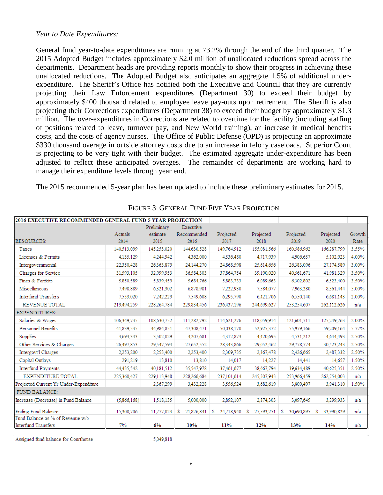#### *Year to Date Expenditures:*

General fund year-to-date expenditures are running at 73.2% through the end of the third quarter. The 2015 Adopted Budget includes approximately \$2.0 million of unallocated reductions spread across the departments. Department heads are providing reports monthly to show their progress in achieving these unallocated reductions. The Adopted Budget also anticipates an aggregate 1.5% of additional underexpenditure. The Sheriff's Office has notified both the Executive and Council that they are currently projecting their Law Enforcement expenditures (Department 30) to exceed their budget by approximately \$400 thousand related to employee leave pay-outs upon retirement. The Sheriff is also projecting their Corrections expenditures (Department 38) to exceed their budget by approximately \$1.3 million. The over-expenditures in Corrections are related to overtime for the facility (including staffing of positions related to leave, turnover pay, and New World training), an increase in medical benefits costs, and the costs of agency nurses. The Office of Public Defense (OPD) is projecting an approximate \$330 thousand overage in outside attorney costs due to an increase in felony caseloads. Superior Court is projecting to be very tight with their budget. The estimated aggregate under-expenditure has been adjusted to reflect these anticipated overages. The remainder of departments are working hard to manage their expenditure levels through year end.

The 2015 recommended 5-year plan has been updated to include these preliminary estimates for 2015.

| 2016 EXECUTIVE RECOMMENDED GENERAL FUND 5 YEAR PROJECTION |             |             |                 |                 |                 |                 |                  |        |
|-----------------------------------------------------------|-------------|-------------|-----------------|-----------------|-----------------|-----------------|------------------|--------|
|                                                           |             | Preliminary | Executive       |                 |                 |                 |                  |        |
|                                                           | Actuals     | estimate    | Recommended     | Projected       | Projected       | Projected       | Projected        | Growth |
| <b>RESOURCES:</b>                                         | 2014        | 2015        | 2016            | 2017            | 2018            | 2019            | 2020             | Rate   |
| Taxes                                                     | 140,513,099 | 145,253,020 | 144,630,528     | 149,764,912     | 155,081,566     | 160,586,962     | 166,287,799      | 3.55%  |
| Licenses & Permits                                        | 4,135,129   | 4.244.942   | 4,362,000       | 4,536,480       | 4.717.939       | 4.906.657       | 5,102,923        | 4.00%  |
| Intergovernmental                                         | 22,350,428  | 26,363,879  | 24,144,270      | 24,868,598      | 25,614,656      | 26.383,096      | 27,174,589       | 3.00%  |
| Charges for Service                                       | 31,593,105  | 32,999,953  | 36,584,303      | 37,864,754      | 39,190,020      | 40,561,671      | 41,981,329       | 3.50%  |
| Fines & Forfeits                                          | 5,850,589   | 5,839,459   | 5,684,766       | 5,883,733       | 6,089,663       | 6,302,802       | 6,523,400        | 3.50%  |
| Miscellaneous                                             | 7,498,889   | 6.321.302   | 6,878,981       | 7.222.930       | 7.584,077       | 7,963,280       | 8.361.444        | 5.00%  |
| <b>Interfund Transfers</b>                                | 7,553,020   | 7,242,229   | 7,549,608       | 6,295,790       | 6,421,706       | 6,550,140       | 6,681,143        | 2.00%  |
| REVENUE TOTAL                                             | 219,494,259 | 228,264,784 | 229,834,456     | 236,437,196     | 244,699,627     | 253,254,607     | 262,112,626      | n/a    |
| <b>EXPENDITURES:</b>                                      |             |             |                 |                 |                 |                 |                  |        |
| Salaries & Wages                                          | 106.349.735 | 108.630.752 | 111,282,792     | 114.621.276     | 118.059.914     | 121.601.711     | 125.249.763      | 2.00%  |
| <b>Personnel Benefits</b>                                 | 41,839,535  | 44,984,851  | 47,308,471      | 50,038,170      | 52,925,372      | 55,979,166      | 59,209,164       | 5.77%  |
| Supplies                                                  | 3,693,343   | 3,502,029   | 4,207,681       | 4,312,873       | 4,420,695       | 4,531,212       | 4,644,493        | 2.50%  |
| Other Services & Charges                                  | 26,497,853  | 29,547,594  | 27,652,552      | 28,343,866      | 29,052,462      | 29,778,774      | 30,523,243       | 2.50%  |
| Intergovt'l Charges                                       | 2,253,200   | 2.253,400   | 2,253,400       | 2,309,735       | 2,367,478       | 2,426,665       | 2,487,332        | 2.50%  |
| Capital Outlays                                           | 291,219     | 13,810      | 13,810          | 14,017          | 14,227          | 14,441          | 14,657           | 1.50%  |
| <b>Interfund Payments</b>                                 | 44,435,542  | 40,181,512  | 35,547,978      | 37,461,677      | 38,667,794      | 39,634,489      | 40,625,351       | 2.50%  |
| <b>EXPENDITURE TOTAL</b>                                  | 225,360,427 | 229,113,948 | 228,266,684     | 237,101,614     | 245,507,943     | 253,966,459     | 262.754.003      | n/a    |
| Projected Current Yr Under-Expenditure                    |             | 2,367,299   | 3,432,228       | 3,556,524       | 3,682,619       | 3,809,497       | 3,941,310        | 1.50%  |
| <b>FUND BALANCE:</b>                                      |             |             |                 |                 |                 |                 |                  |        |
| Increase (Decrease) in Fund Balance                       | (5,866,168) | 1,518,135   | 5,000,000       | 2,892,107       | 2,874,303       | 3,097,645       | 3.299.933        | n/a    |
| Ending Fund Balance                                       | 15,308,706  | 11,777,023  | s<br>21,826,841 | 24,718,948<br>s | S<br>27,593,251 | s<br>30,690,895 | \$<br>33,990,829 | n/a    |
| Fund Balance as % of Revenue w/o<br>Interfund Transfers   | 7%          | 6%          | 10%             | 11%             | 12%             | 13%             | 14%              | n/a    |
|                                                           |             |             |                 |                 |                 |                 |                  |        |

#### FIGURE 3: GENERAL FUND FIVE YEAR PROJECTION

Assigned fund balance for Courthouse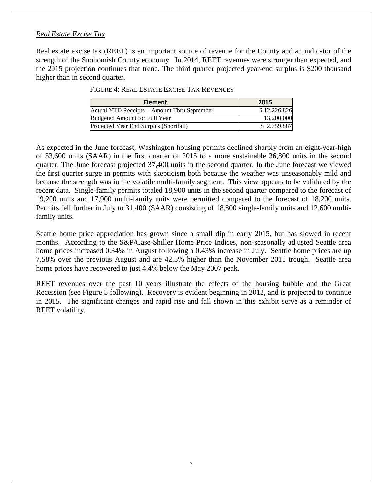#### *Real Estate Excise Tax*

Real estate excise tax (REET) is an important source of revenue for the County and an indicator of the strength of the Snohomish County economy. In 2014, REET revenues were stronger than expected, and the 2015 projection continues that trend. The third quarter projected year-end surplus is \$200 thousand higher than in second quarter.

| <b>Element</b>                              | 2015         |
|---------------------------------------------|--------------|
| Actual YTD Receipts - Amount Thru September | \$12,226,826 |
| Budgeted Amount for Full Year               | 13,200,000   |
| Projected Year End Surplus (Shortfall)      | \$2,759,887  |

FIGURE 4: REAL ESTATE EXCISE TAX REVENUES

As expected in the June forecast, Washington housing permits declined sharply from an eight-year-high of 53,600 units (SAAR) in the first quarter of 2015 to a more sustainable 36,800 units in the second quarter. The June forecast projected 37,400 units in the second quarter. In the June forecast we viewed the first quarter surge in permits with skepticism both because the weather was unseasonably mild and because the strength was in the volatile multi-family segment. This view appears to be validated by the recent data. Single-family permits totaled 18,900 units in the second quarter compared to the forecast of 19,200 units and 17,900 multi-family units were permitted compared to the forecast of 18,200 units. Permits fell further in July to 31,400 (SAAR) consisting of 18,800 single-family units and 12,600 multifamily units.

Seattle home price appreciation has grown since a small dip in early 2015, but has slowed in recent months. According to the S&P/Case-Shiller Home Price Indices, non-seasonally adjusted Seattle area home prices increased 0.34% in August following a 0.43% increase in July. Seattle home prices are up 7.58% over the previous August and are 42.5% higher than the November 2011 trough. Seattle area home prices have recovered to just 4.4% below the May 2007 peak.

REET revenues over the past 10 years illustrate the effects of the housing bubble and the Great Recession (see Figure 5 following). Recovery is evident beginning in 2012, and is projected to continue in 2015. The significant changes and rapid rise and fall shown in this exhibit serve as a reminder of REET volatility.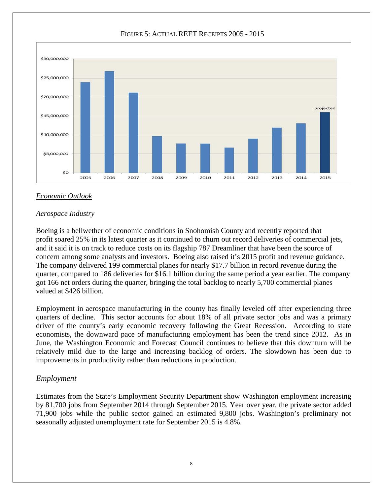

#### FIGURE 5: ACTUAL REET RECEIPTS 2005 - 2015

#### *Economic Outlook*

#### *Aerospace Industry*

Boeing is a bellwether of economic conditions in Snohomish County and recently reported that profit soared 25% in its latest quarter as it continued to churn out record deliveries of commercial jets, and it said it is on track to reduce costs on its flagship 787 Dreamliner that have been the source of concern among some analysts and investors. Boeing also raised it's 2015 profit and revenue guidance. The company delivered 199 commercial planes for nearly \$17.7 billion in record revenue during the quarter, compared to 186 deliveries for \$16.1 billion during the same period a year earlier. The company got 166 net orders during the quarter, bringing the total backlog to nearly 5,700 commercial planes valued at \$426 billion.

Employment in aerospace manufacturing in the county has finally leveled off after experiencing three quarters of decline. This sector accounts for about 18% of all private sector jobs and was a primary driver of the county's early economic recovery following the Great Recession. According to state economists, the downward pace of manufacturing employment has been the trend since 2012. As in June, the Washington Economic and Forecast Council continues to believe that this downturn will be relatively mild due to the large and increasing backlog of orders. The slowdown has been due to improvements in productivity rather than reductions in production.

#### *Employment*

Estimates from the State's Employment Security Department show Washington employment increasing by 81,700 jobs from September 2014 through September 2015. Year over year, the private sector added 71,900 jobs while the public sector gained an estimated 9,800 jobs. Washington's preliminary not seasonally adjusted unemployment rate for September 2015 is 4.8%.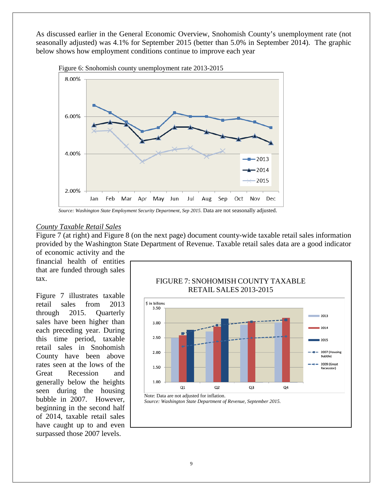As discussed earlier in the General Economic Overview, Snohomish County's unemployment rate (not seasonally adjusted) was 4.1% for September 2015 (better than 5.0% in September 2014). The graphic below shows how employment conditions continue to improve each year



Figure 6: Snohomish county unemployment rate 2013-2015



#### *County Taxable Retail Sales*

Figure 7 (at right) and Figure 8 (on the next page) document county-wide taxable retail sales information provided by the Washington State Department of Revenue. Taxable retail sales data are a good indicator of economic activity and the

financial health of entities that are funded through sales tax.

Figure 7 illustrates taxable retail sales from 2013 through 2015. Quarterly sales have been higher than each preceding year. During this time period, taxable retail sales in Snohomish County have been above rates seen at the lows of the Great Recession and generally below the heights seen during the housing bubble in 2007. However, beginning in the second half of 2014, taxable retail sales have caught up to and even surpassed those 2007 levels.



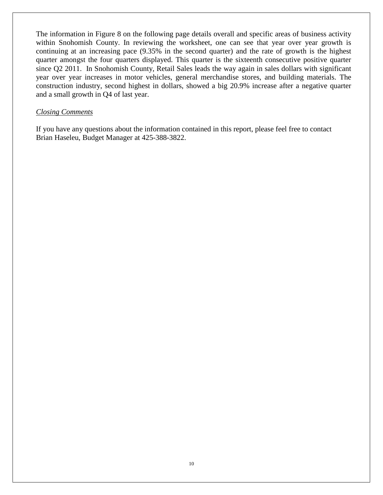The information in Figure 8 on the following page details overall and specific areas of business activity within Snohomish County. In reviewing the worksheet, one can see that year over year growth is continuing at an increasing pace (9.35% in the second quarter) and the rate of growth is the highest quarter amongst the four quarters displayed. This quarter is the sixteenth consecutive positive quarter since Q2 2011. In Snohomish County, Retail Sales leads the way again in sales dollars with significant year over year increases in motor vehicles, general merchandise stores, and building materials. The construction industry, second highest in dollars, showed a big 20.9% increase after a negative quarter and a small growth in Q4 of last year.

#### *Closing Comments*

If you have any questions about the information contained in this report, please feel free to contact Brian Haseleu, Budget Manager at 425-388-3822.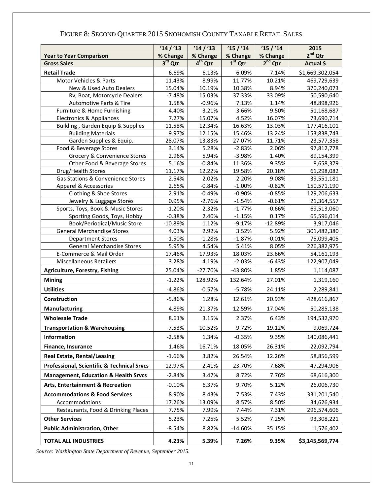|                                                         | '14'/13         | '14'/13         | '15'/14         | '15'/14         | 2015                      |
|---------------------------------------------------------|-----------------|-----------------|-----------------|-----------------|---------------------------|
| <b>Year to Year Comparison</b>                          | % Change        | % Change        | % Change        | % Change        | $2nd$ Qtr                 |
| <b>Gross Sales</b>                                      | $3rd$ Qtr       | $4th$ Qtr       | $1st$ Qtr       | $2nd$ Qtr       | Actual \$                 |
| <b>Retail Trade</b>                                     | 6.69%           | 6.13%           | 6.09%           | 7.14%           | \$1,669,302,054           |
| Motor Vehicles & Parts                                  | 11.43%          | 8.99%           | 11.77%          | 10.21%          | 469,729,639               |
| New & Used Auto Dealers                                 | 15.04%          | 10.19%          | 10.38%          | 8.94%           | 370,240,073               |
| Rv, Boat, Motorcycle Dealers                            | $-7.48%$        | 15.03%          | 37.33%          | 33.09%          | 50,590,640                |
| Automotive Parts & Tire                                 | 1.58%           | $-0.96%$        | 7.13%           | 1.14%           | 48,898,926                |
| Furniture & Home Furnishing                             | 4.40%           | 3.21%           | 3.66%           | 9.50%           | 51,168,687                |
| <b>Electronics &amp; Appliances</b>                     | 7.27%           | 15.07%          | 4.52%           | 16.07%          | 73,690,714                |
| Building, Garden Equip & Supplies                       | 11.58%          | 12.34%          | 16.63%          | 13.03%          | 177,416,101               |
| <b>Building Materials</b>                               | 9.97%           | 12.15%          | 15.46%          | 13.24%          | 153,838,743               |
| Garden Supplies & Equip.                                | 28.07%          | 13.83%          | 27.07%          | 11.71%          | 23,577,358                |
| Food & Beverage Stores                                  | 3.14%           | 5.28%           | $-2.83%$        | 2.06%           | 97,812,778                |
| Grocery & Convenience Stores                            | 2.96%           | 5.94%           | $-3.98%$        | 1.40%           | 89,154,399                |
| Other Food & Beverage Stores                            | 5.16%           | $-0.84%$        | 11.36%          | 9.35%           | 8,658,379                 |
| Drug/Health Stores<br>Gas Stations & Convenience Stores | 11.17%<br>2.54% | 12.22%<br>2.02% | 19.58%<br>2.20% | 20.18%<br>9.08% | 61,298,082                |
| Apparel & Accessories                                   | 2.65%           | $-0.84%$        | $-1.00%$        | $-0.82%$        | 39,551,181<br>150,571,190 |
| Clothing & Shoe Stores                                  | 2.91%           | $-0.49%$        | $-0.90%$        | $-0.85%$        | 129,206,633               |
| Jewelry & Luggage Stores                                | 0.95%           | $-2.76%$        | $-1.54%$        | $-0.61%$        | 21,364,557                |
| Sports, Toys, Book & Music Stores                       | $-1.20%$        | 2.32%           | $-1.77%$        | $-0.66%$        | 69,513,060                |
| Sporting Goods, Toys, Hobby                             | $-0.38%$        | 2.40%           | $-1.15%$        | 0.17%           | 65,596,014                |
| <b>Book/Periodical/Music Store</b>                      | $-10.89%$       | 1.12%           | $-9.17%$        | $-12.89%$       | 3,917,046                 |
| <b>General Merchandise Stores</b>                       | 4.03%           | 2.92%           | 3.52%           | 5.92%           | 301,482,380               |
| <b>Department Stores</b>                                | $-1.50%$        | $-1.28%$        | $-1.87%$        | $-0.01%$        | 75,099,405                |
| <b>General Merchandise Stores</b>                       | 5.95%           | 4.54%           | 5.41%           | 8.05%           | 226,382,975               |
| E-Commerce & Mail Order                                 | 17.46%          | 17.93%          | 18.03%          | 23.66%          | 54,161,193                |
| <b>Miscellaneous Retailers</b>                          | 3.28%           | 4.19%           | $-2.03%$        | $-6.43%$        | 122,907,049               |
| <b>Agriculture, Forestry, Fishing</b>                   | 25.04%          | $-27.70%$       | -43.80%         | 1.85%           | 1,114,087                 |
| <b>Mining</b>                                           | $-1.22%$        | 128.92%         | 132.64%         | 27.01%          | 1,319,160                 |
| <b>Utilities</b>                                        | $-4.86%$        | $-0.57%$        | $-5.78%$        | 24.11%          | 2,289,841                 |
| <b>Construction</b>                                     | $-5.86%$        | 1.28%           | 12.61%          | 20.93%          | 428,616,867               |
| Manufacturing                                           | 4.89%           | 21.37%          | 12.59%          | 17.04%          | 50,285,138                |
| <b>Wholesale Trade</b>                                  | 8.61%           | 3.15%           | 2.37%           | 6.43%           | 194,532,970               |
| <b>Transportation &amp; Warehousing</b>                 | $-7.53%$        | 10.52%          | 9.72%           | 19.12%          | 9,069,724                 |
| Information                                             | $-2.58%$        | 1.34%           | $-0.35%$        | 9.35%           | 140,086,441               |
| Finance, Insurance                                      | 1.46%           | 16.71%          | 18.05%          | 26.31%          | 22,092,794                |
| <b>Real Estate, Rental/Leasing</b>                      | $-1.66%$        | 3.82%           | 26.54%          | 12.26%          | 58,856,599                |
| <b>Professional, Scientific &amp; Technical Srvcs</b>   | 12.97%          | $-2.41%$        | 23.70%          | 7.68%           | 47,294,906                |
| <b>Management, Education &amp; Health Srvcs</b>         | $-2.84%$        | 3.47%           | 8.72%           | 7.76%           | 68,616,300                |
| <b>Arts, Entertainment &amp; Recreation</b>             | $-0.10%$        | 6.37%           | 9.70%           | 5.12%           | 26,006,730                |
| <b>Accommodations &amp; Food Services</b>               | 8.90%           | 8.43%           | 7.53%           | 7.43%           | 331,201,540               |
| Accommodations                                          | 17.26%          | 13.09%          | 8.57%           | 8.50%           | 34,626,934                |
| Restaurants, Food & Drinking Places                     | 7.75%           | 7.99%           | 7.44%           | 7.31%           | 296,574,606               |
| <b>Other Services</b>                                   | 5.23%           | 7.25%           | 5.52%           | 7.25%           | 93,308,221                |
| <b>Public Administration, Other</b>                     | $-8.54%$        | 8.82%           | $-14.60%$       | 35.15%          | 1,576,402                 |
| <b>TOTAL ALL INDUSTRIES</b>                             | 4.23%           | 5.39%           | 7.26%           | 9.35%           | \$3,145,569,774           |

## FIGURE 8: SECOND QUARTER 2015 SNOHOMISH COUNTY TAXABLE RETAIL SALES

*Source: Washington State Department of Revenue, September 2015.*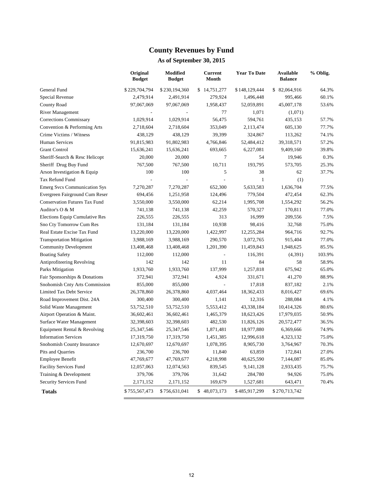## **County Revenues by Fund**

|                                      | Original<br><b>Budget</b> | <b>Modified</b><br><b>Budget</b> | <b>Current</b><br>Month | <b>Year To Date</b> | <b>Available</b><br><b>Balance</b> | % Oblig. |
|--------------------------------------|---------------------------|----------------------------------|-------------------------|---------------------|------------------------------------|----------|
| General Fund                         | \$229,704,794             | \$230,194,360                    | \$14,751,277            | \$148,129,444       | \$ 82,064,916                      | 64.3%    |
| Special Revenue                      | 2,479,914                 | 2,491,914                        | 279,924                 | 1,496,448           | 995,466                            | 60.1%    |
| County Road                          | 97,067,069                | 97,067,069                       | 1,958,437               | 52,059,891          | 45,007,178                         | 53.6%    |
| <b>River Management</b>              |                           |                                  | 77                      | 1,071               | (1,071)                            |          |
| Corrections Commissary               | 1,029,914                 | 1,029,914                        | 56,475                  | 594,761             | 435,153                            | 57.7%    |
| Convention & Performing Arts         | 2,718,604                 | 2,718,604                        | 353,049                 | 2,113,474           | 605,130                            | 77.7%    |
| Crime Victims / Witness              | 438,129                   | 438,129                          | 39,399                  | 324,867             | 113,262                            | 74.1%    |
| <b>Human Services</b>                | 91,815,983                | 91,802,983                       | 4,766,846               | 52,484,412          | 39,318,571                         | 57.2%    |
| <b>Grant Control</b>                 | 15,636,241                | 15,636,241                       | 693,665                 | 6,227,081           | 9,409,160                          | 39.8%    |
| Sheriff-Search & Resc Helicopt       | 20,000                    | 20,000                           | $\overline{7}$          | 54                  | 19,946                             | 0.3%     |
| Sheriff Drug Buy Fund                | 767,500                   | 767,500                          | 10,711                  | 193.795             | 573,705                            | 25.3%    |
| Arson Investigation & Equip          | 100                       | 100                              | 5                       | 38                  | 62                                 | 37.7%    |
| Tax Refund Fund                      |                           | L.                               | L.                      | $\mathbf{1}$        | (1)                                |          |
| <b>Emerg Svcs Communication Sys</b>  | 7,270,287                 | 7,270,287                        | 652,300                 | 5,633,583           | 1,636,704                          | 77.5%    |
| Evergreen Fairground Cum Reser       | 694,456                   | 1,251,958                        | 124,496                 | 779,504             | 472,454                            | 62.3%    |
| <b>Conservation Futures Tax Fund</b> | 3,550,000                 | 3,550,000                        | 62,214                  | 1,995,708           | 1,554,292                          | 56.2%    |
| Auditor's O & M                      | 741,138                   | 741,138                          | 42,259                  | 570,327             | 170,811                            | 77.0%    |
| Elections Equip Cumulative Res       | 226,555                   | 226,555                          | 313                     | 16,999              | 209,556                            | 7.5%     |
| Sno Cty Tomorrow Cum Res             | 131,184                   | 131,184                          | 10,938                  | 98,416              | 32,768                             | 75.0%    |
| Real Estate Excise Tax Fund          | 13,220,000                | 13,220,000                       | 1,422,997               | 12,255,284          | 964,716                            | 92.7%    |
| <b>Transportation Mitigation</b>     | 3,988,169                 | 3,988,169                        | 290,570                 | 3,072,765           | 915,404                            | 77.0%    |
| <b>Community Development</b>         | 13,408,468                | 13,408,468                       | 1,201,390               | 11,459,843          | 1,948,625                          | 85.5%    |
| <b>Boating Safety</b>                | 112,000                   | 112,000                          | $\blacksquare$          | 116,391             | (4, 391)                           | 103.9%   |
| Antiprofiteering Revolving           | 142                       | 142                              | 11                      | 84                  | 58                                 | 58.9%    |
| Parks Mitigation                     | 1,933,760                 | 1,933,760                        | 137,999                 | 1,257,818           | 675,942                            | 65.0%    |
| Fair Sponsorships & Donations        | 372,941                   | 372,941                          | 4,924                   | 331,671             | 41,270                             | 88.9%    |
| Snohomish Cnty Arts Commission       | 855,000                   | 855,000                          | $\blacksquare$          | 17,818              | 837,182                            | 2.1%     |
| Limited Tax Debt Service             | 26,378,860                | 26,378,860                       | 4,037,464               | 18,362,433          | 8,016,427                          | 69.6%    |
| Road Improvement Dist. 24A           | 300,400                   | 300,400                          | 1,141                   | 12,316              | 288,084                            | 4.1%     |
| Solid Waste Management               | 53,752,510                | 53,752,510                       | 5,553,412               | 43,338,184          | 10,414,326                         | 80.6%    |
| Airport Operation & Maint.           | 36,602,461                | 36,602,461                       | 1,465,379               | 18,623,426          | 17,979,035                         | 50.9%    |
| Surface Water Management             | 32,398,603                | 32,398,603                       | 482,530                 | 11,826,126          | 20,572,477                         | 36.5%    |
| Equipment Rental & Revolving         | 25,347,546                | 25,347,546                       | 1,871,481               | 18,977,880          | 6,369,666                          | 74.9%    |
| <b>Information Services</b>          | 17,319,750                | 17,319,750                       | 1,451,385               | 12,996,618          | 4,323,132                          | 75.0%    |
| Snohomish County Insurance           | 12,670,697                | 12,670,697                       | 1,078,395               | 8,905,730           | 3,764,967                          | 70.3%    |
| Pits and Quarries                    | 236,700                   | 236,700                          | 11,840                  | 63,859              | 172,841                            | 27.0%    |
| <b>Employee Benefit</b>              | 47,769,677                | 47,769,677                       | 4,218,998               | 40,625,590          | 7,144,087                          | 85.0%    |
| <b>Facility Services Fund</b>        | 12,057,063                | 12,074,563                       | 839,545                 | 9,141,128           | 2,933,435                          | 75.7%    |
| Training & Development               | 379,706                   | 379,706                          | 31,642                  | 284,780             | 94,926                             | 75.0%    |
| Security Services Fund               | 2,171,152                 | 2,171,152                        | 169,679                 | 1,527,681           | 643,471                            | 70.4%    |
| <b>Totals</b>                        | \$755,567,473             | \$756,631,041                    | \$48,073,173            | \$485,917,299       | \$270,713,742                      |          |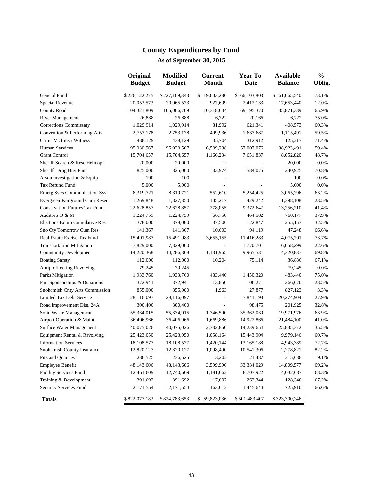## **County Expenditures by Fund**

|                                      | Original<br><b>Budget</b> | <b>Modified</b><br><b>Budget</b> | <b>Current</b><br><b>Month</b> | <b>Year To</b><br>Date | <b>Available</b><br><b>Balance</b> | $\frac{1}{2}$<br>Oblig. |
|--------------------------------------|---------------------------|----------------------------------|--------------------------------|------------------------|------------------------------------|-------------------------|
| General Fund                         | \$226,122,275             | \$227,169,343                    | \$19,603,286                   | \$166,103,803          | \$ 61,065,540                      | 73.1%                   |
| Special Revenue                      | 20,053,573                | 20,065,573                       | 927,699                        | 2,412,133              | 17,653,440                         | 12.0%                   |
| County Road                          | 104,321,809               | 105,066,709                      | 10,318,634                     | 69,195,370             | 35,871,339                         | 65.9%                   |
| <b>River Management</b>              | 26,888                    | 26,888                           | 6,722                          | 20,166                 | 6,722                              | 75.0%                   |
| <b>Corrections Commissary</b>        | 1,029,914                 | 1,029,914                        | 81,992                         | 621,341                | 408,573                            | 60.3%                   |
| Convention & Performing Arts         | 2,753,178                 | 2,753,178                        | 409,936                        | 1,637,687              | 1,115,491                          | 59.5%                   |
| Crime Victims / Witness              | 438,129                   | 438,129                          | 35,704                         | 312,912                | 125,217                            | 71.4%                   |
| Human Services                       | 95,930,567                | 95,930,567                       | 6,599,238                      | 57,007,076             | 38,923,491                         | 59.4%                   |
| <b>Grant Control</b>                 | 15,704,657                | 15,704,657                       | 1,166,234                      | 7,651,837              | 8,052,820                          | 48.7%                   |
| Sheriff-Search & Resc Helicopt       | 20,000                    | 20,000                           |                                |                        | 20,000                             | 0.0%                    |
| Sheriff Drug Buy Fund                | 825,000                   | 825,000                          | 33,974                         | 584,075                | 240,925                            | 70.8%                   |
| Arson Investigation & Equip          | 100                       | 100                              |                                |                        | 100                                | 0.0%                    |
| Tax Refund Fund                      | 5,000                     | 5,000                            |                                |                        | 5,000                              | 0.0%                    |
| <b>Emerg Svcs Communication Sys</b>  | 8,319,721                 | 8,319,721                        | 552,610                        | 5,254,425              | 3,065,296                          | 63.2%                   |
| Evergreen Fairground Cum Reser       | 1,269,848                 | 1,827,350                        | 105,217                        | 429,242                | 1,398,108                          | 23.5%                   |
| <b>Conservation Futures Tax Fund</b> | 22,628,857                | 22,628,857                       | 278,055                        | 9,372,647              | 13,256,210                         | 41.4%                   |
| Auditor's O & M                      | 1,224,759                 | 1,224,759                        | 66,750                         | 464,582                | 760,177                            | 37.9%                   |
| Elections Equip Cumulative Res       | 378,000                   | 378,000                          | 37,500                         | 122,847                | 255,153                            | 32.5%                   |
| Sno Cty Tomorrow Cum Res             | 141,367                   | 141,367                          | 10,603                         | 94,119                 | 47,248                             | 66.6%                   |
| Real Estate Excise Tax Fund          | 15,491,983                | 15,491,983                       | 3,655,155                      | 11,416,283             | 4,075,701                          | 73.7%                   |
| <b>Transportation Mitigation</b>     | 7,829,000                 | 7,829,000                        | $\overline{\phantom{a}}$       | 1,770,701              | 6,058,299                          | 22.6%                   |
| <b>Community Development</b>         | 14,220,368                | 14,286,368                       | 1,131,965                      | 9,965,531              | 4,320,837                          | 69.8%                   |
| <b>Boating Safety</b>                | 112,000                   | 112,000                          | 10,204                         | 75,114                 | 36,886                             | 67.1%                   |
| Antiprofiteering Revolving           | 79,245                    | 79,245                           |                                |                        | 79,245                             | 0.0%                    |
| Parks Mitigation                     | 1,933,760                 | 1,933,760                        | 483,440                        | 1,450,320              | 483,440                            | 75.0%                   |
| Fair Sponsorships & Donations        | 372,941                   | 372,941                          | 13,850                         | 106,271                | 266,670                            | 28.5%                   |
| Snohomish Cnty Arts Commission       | 855,000                   | 855,000                          | 1,963                          | 27,877                 | 827,123                            | 3.3%                    |
| Limited Tax Debt Service             | 28,116,097                | 28,116,097                       |                                | 7,841,193              | 20,274,904                         | 27.9%                   |
| Road Improvement Dist. 24A           | 300,400                   | 300,400                          |                                | 98,475                 | 201,925                            | 32.8%                   |
| Solid Waste Management               | 55,334,015                | 55,334,015                       | 1,746,590                      | 35,362,039             | 19,971,976                         | 63.9%                   |
| Airport Operation & Maint.           | 36,406,966                | 36,406,966                       | 1,669,886                      | 14,922,866             | 21,484,100                         | 41.0%                   |
| Surface Water Management             | 40,075,026                | 40,075,026                       | 2,332,860                      | 14,239,654             | 25,835,372                         | 35.5%                   |
| Equipment Rental & Revolving         | 25,423,050                | 25,423,050                       | 1,058,164                      | 15,443,904             | 9,979,146                          | 60.7%                   |
| <b>Information Services</b>          | 18,108,577                | 18,108,577                       | 1,420,144                      | 13,165,188             | 4,943,389                          | 72.7%                   |
| Snohomish County Insurance           | 12,820,127                | 12,820,127                       | 1,098,490                      | 10,541,306             | 2,278,821                          | 82.2%                   |
| Pits and Quarries                    | 236,525                   | 236,525                          | 3,202                          | 21,487                 | 215,038                            | 9.1%                    |
| Employee Benefit                     | 48,143,606                | 48,143,606                       | 3,599,996                      | 33,334,029             | 14,809,577                         | 69.2%                   |
| Facility Services Fund               | 12,461,609                | 12,740,609                       | 1,181,662                      | 8,707,922              | 4,032,687                          | 68.3%                   |
| Training & Development               | 391,692                   | 391,692                          | 17,697                         | 263,344                | 128,348                            | 67.2%                   |
| Security Services Fund               | 2,171,554                 | 2,171,554                        | 163,612                        | 1,445,644              | 725,910                            | 66.6%                   |
| <b>Totals</b>                        | \$822,077,183             | \$824,783,653                    | \$59,823,036                   | \$501,483,407          | \$323,300,246                      |                         |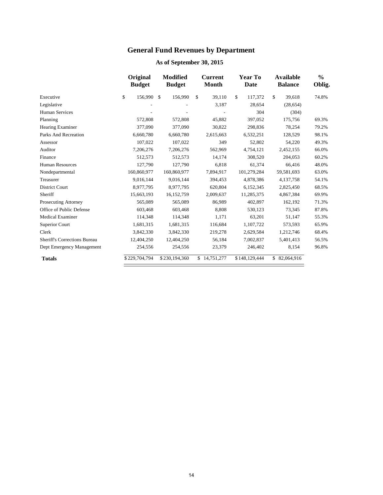## **General Fund Revenues by Department**

|                                     | Original<br><b>Budget</b> | <b>Modified</b><br><b>Budget</b> | <b>Current</b><br><b>Month</b> | <b>Year To</b><br>Date | <b>Available</b><br><b>Balance</b> | $\frac{0}{0}$<br>Oblig. |
|-------------------------------------|---------------------------|----------------------------------|--------------------------------|------------------------|------------------------------------|-------------------------|
| Executive                           | \$<br>156,990             | $\mathcal{S}$<br>156,990         | \$<br>39,110                   | \$<br>117,372          | \$<br>39,618                       | 74.8%                   |
| Legislative                         |                           |                                  | 3,187                          | 28,654                 | (28, 654)                          |                         |
| <b>Human Services</b>               |                           |                                  |                                | 304                    | (304)                              |                         |
| Planning                            | 572,808                   | 572,808                          | 45,882                         | 397,052                | 175,756                            | 69.3%                   |
| <b>Hearing Examiner</b>             | 377,090                   | 377,090                          | 30,822                         | 298,836                | 78,254                             | 79.2%                   |
| <b>Parks And Recreation</b>         | 6,660,780                 | 6,660,780                        | 2,615,663                      | 6,532,251              | 128,529                            | 98.1%                   |
| Assessor                            | 107,022                   | 107,022                          | 349                            | 52,802                 | 54,220                             | 49.3%                   |
| Auditor                             | 7,206,276                 | 7,206,276                        | 562,969                        | 4,754,121              | 2,452,155                          | 66.0%                   |
| Finance                             | 512,573                   | 512,573                          | 14,174                         | 308,520                | 204,053                            | 60.2%                   |
| <b>Human Resources</b>              | 127,790                   | 127,790                          | 6,818                          | 61,374                 | 66,416                             | 48.0%                   |
| Nondepartmental                     | 160,860,977               | 160,860,977                      | 7,894,917                      | 101,279,284            | 59,581,693                         | 63.0%                   |
| Treasurer                           | 9,016,144                 | 9,016,144                        | 394,453                        | 4,878,386              | 4,137,758                          | 54.1%                   |
| <b>District Court</b>               | 8,977,795                 | 8,977,795                        | 620,804                        | 6,152,345              | 2,825,450                          | 68.5%                   |
| Sheriff                             | 15,663,193                | 16,152,759                       | 2,009,637                      | 11,285,375             | 4,867,384                          | 69.9%                   |
| Prosecuting Attorney                | 565,089                   | 565,089                          | 86,989                         | 402,897                | 162,192                            | 71.3%                   |
| Office of Public Defense            | 603,468                   | 603,468                          | 8,808                          | 530,123                | 73,345                             | 87.8%                   |
| <b>Medical Examiner</b>             | 114,348                   | 114,348                          | 1,171                          | 63,201                 | 51,147                             | 55.3%                   |
| Superior Court                      | 1,681,315                 | 1,681,315                        | 116,684                        | 1,107,722              | 573,593                            | 65.9%                   |
| Clerk                               | 3,842,330                 | 3,842,330                        | 219,278                        | 2,629,584              | 1,212,746                          | 68.4%                   |
| <b>Sheriff's Corrections Bureau</b> | 12,404,250                | 12,404,250                       | 56,184                         | 7,002,837              | 5,401,413                          | 56.5%                   |
| Dept Emergency Management           | 254,556                   | 254,556                          | 23,379                         | 246,402                | 8,154                              | 96.8%                   |
| <b>Totals</b>                       | \$229,704,794             | \$230,194,360                    | \$14,751,277                   | \$148,129,444          | \$82,064,916                       |                         |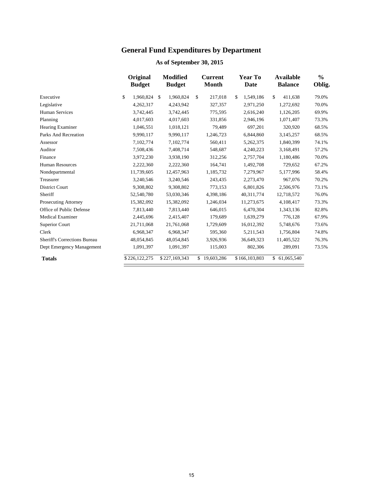## **General Fund Expenditures by Department**

|                                     | Original<br><b>Budget</b> | <b>Modified</b><br><b>Budget</b> | <b>Current</b><br><b>Month</b> | <b>Year To</b><br>Date | <b>Available</b><br><b>Balance</b> | $\frac{0}{0}$<br>Oblig. |
|-------------------------------------|---------------------------|----------------------------------|--------------------------------|------------------------|------------------------------------|-------------------------|
| Executive                           | \$<br>1.960.824           | \$<br>1,960,824                  | \$<br>217,018                  | \$<br>1,549,186        | \$<br>411.638                      | 79.0%                   |
| Legislative                         | 4,262,317                 | 4,243,942                        | 327,357                        | 2,971,250              | 1,272,692                          | 70.0%                   |
| Human Services                      | 3,742,445                 | 3,742,445                        | 775,595                        | 2,616,240              | 1,126,205                          | 69.9%                   |
| Planning                            | 4,017,603                 | 4,017,603                        | 331,856                        | 2,946,196              | 1,071,407                          | 73.3%                   |
| <b>Hearing Examiner</b>             | 1,046,551                 | 1,018,121                        | 79,489                         | 697,201                | 320,920                            | 68.5%                   |
| Parks And Recreation                | 9,990,117                 | 9,990,117                        | 1,246,723                      | 6,844,860              | 3,145,257                          | 68.5%                   |
| Assessor                            | 7,102,774                 | 7,102,774                        | 560,411                        | 5,262,375              | 1,840,399                          | 74.1%                   |
| Auditor                             | 7,508,436                 | 7,408,714                        | 548,687                        | 4,240,223              | 3,168,491                          | 57.2%                   |
| Finance                             | 3,972,230                 | 3,938,190                        | 312,256                        | 2,757,704              | 1,180,486                          | 70.0%                   |
| <b>Human Resources</b>              | 2,222,360                 | 2,222,360                        | 164,741                        | 1,492,708              | 729,652                            | 67.2%                   |
| Nondepartmental                     | 11,739,605                | 12,457,963                       | 1,185,732                      | 7,279,967              | 5,177,996                          | 58.4%                   |
| Treasurer                           | 3,240,546                 | 3,240,546                        | 243,435                        | 2,273,470              | 967,076                            | 70.2%                   |
| <b>District Court</b>               | 9,308,802                 | 9,308,802                        | 773,153                        | 6,801,826              | 2,506,976                          | 73.1%                   |
| Sheriff                             | 52,540,780                | 53,030,346                       | 4,398,186                      | 40,311,774             | 12,718,572                         | 76.0%                   |
| <b>Prosecuting Attorney</b>         | 15,382,092                | 15,382,092                       | 1,246,034                      | 11,273,675             | 4,108,417                          | 73.3%                   |
| Office of Public Defense            | 7,813,440                 | 7,813,440                        | 646,015                        | 6,470,304              | 1,343,136                          | 82.8%                   |
| <b>Medical Examiner</b>             | 2,445,696                 | 2,415,407                        | 179,689                        | 1,639,279              | 776,128                            | 67.9%                   |
| Superior Court                      | 21,711,068                | 21,761,068                       | 1,729,609                      | 16,012,392             | 5,748,676                          | 73.6%                   |
| Clerk                               | 6,968,347                 | 6,968,347                        | 595,360                        | 5,211,543              | 1,756,804                          | 74.8%                   |
| <b>Sheriff's Corrections Bureau</b> | 48,054,845                | 48,054,845                       | 3,926,936                      | 36,649,323             | 11,405,522                         | 76.3%                   |
| Dept Emergency Management           | 1,091,397                 | 1,091,397                        | 115,003                        | 802,306                | 289,091                            | 73.5%                   |
| <b>Totals</b>                       | \$226,122,275             | \$227,169,343                    | \$19,603,286                   | \$166,103,803          | \$ 61,065,540                      |                         |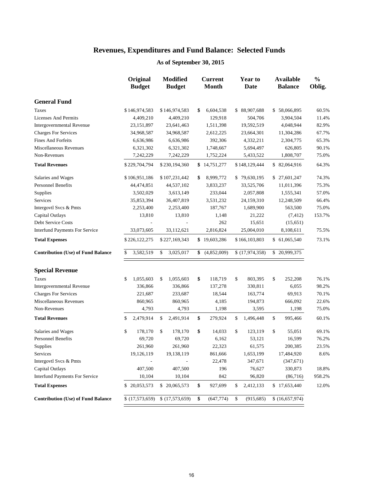|                                           | Original<br><b>Budget</b> | <b>Modified</b><br><b>Budget</b> | <b>Current</b><br><b>Month</b> | <b>Year to</b><br>Date | <b>Available</b><br><b>Balance</b> | $\frac{0}{0}$<br>Oblig. |
|-------------------------------------------|---------------------------|----------------------------------|--------------------------------|------------------------|------------------------------------|-------------------------|
| <b>General Fund</b>                       |                           |                                  |                                |                        |                                    |                         |
| <b>Taxes</b>                              | \$146,974,583             | \$146,974,583                    | \$<br>6,604,538                | \$88,907,688           | \$58,066,895                       | 60.5%                   |
| <b>Licenses And Permits</b>               | 4,409,210                 | 4,409,210                        | 129,918                        | 504,706                | 3,904,504                          | 11.4%                   |
| Intergovernmental Revenue                 | 23,151,897                | 23,641,463                       | 1,511,398                      | 19,592,519             | 4,048,944                          | 82.9%                   |
| <b>Charges For Services</b>               | 34,968,587                | 34,968,587                       | 2,612,225                      | 23,664,301             | 11,304,286                         | 67.7%                   |
| <b>Fines And Forfeits</b>                 | 6,636,986                 | 6,636,986                        | 392,306                        | 4,332,211              | 2,304,775                          | 65.3%                   |
| Miscellaneous Revenues                    | 6,321,302                 | 6,321,302                        | 1,748,667                      | 5,694,497              | 626,805                            | 90.1%                   |
| Non-Revenues                              | 7,242,229                 | 7,242,229                        | 1,752,224                      | 5,433,522              | 1,808,707                          | 75.0%                   |
| <b>Total Revenues</b>                     | \$229,704,794             | \$230,194,360                    | \$14,751,277                   | \$148,129,444          | \$82,064,916                       | 64.3%                   |
| Salaries and Wages                        | \$106,951,186             | \$107,231,442                    | 8,999,772<br>\$                | \$79,630,195           | \$27,601,247                       | 74.3%                   |
| <b>Personnel Benefits</b>                 | 44,474,851                | 44,537,102                       | 3,833,237                      | 33,525,706             | 11,011,396                         | 75.3%                   |
| Supplies                                  | 3,502,029                 | 3,613,149                        | 233,044                        | 2,057,808              | 1,555,341                          | 57.0%                   |
| Services                                  | 35,853,394                | 36,407,819                       | 3,531,232                      | 24,159,310             | 12,248,509                         | 66.4%                   |
| Intergovtl Svcs & Pmts                    | 2,253,400                 | 2,253,400                        | 187,767                        | 1,689,900              | 563,500                            | 75.0%                   |
| Capital Outlays                           | 13,810                    | 13,810                           | 1,148                          | 21,222                 | (7, 412)                           | 153.7%                  |
| <b>Debt Service Costs</b>                 |                           |                                  | 262                            | 15,651                 | (15,651)                           |                         |
| <b>Interfund Payments For Service</b>     | 33,073,605                | 33,112,621                       | 2,816,824                      | 25,004,010             | 8,108,611                          | 75.5%                   |
| <b>Total Expenses</b>                     | \$226,122,275             | \$227,169,343                    | \$19,603,286                   | \$166,103,803          | \$ 61,065,540                      | 73.1%                   |
| <b>Contribution (Use) of Fund Balance</b> | \$<br>3,582,519           | \$<br>3,025,017                  | \$<br>(4,852,009)              | \$(17,974,358)         | \$20,999,375                       |                         |
| <b>Special Revenue</b>                    |                           |                                  |                                |                        |                                    |                         |
| Taxes                                     | 1,055,603<br>\$           | \$<br>1,055,603                  | \$<br>118,719                  | \$<br>803,395          | \$<br>252,208                      | 76.1%                   |
| Intergovernmental Revenue                 | 336,866                   | 336,866                          | 137,278                        | 330,811                | 6,055                              | 98.2%                   |
| <b>Charges For Services</b>               | 221,687                   | 233,687                          | 18,544                         | 163,774                | 69,913                             | 70.1%                   |
| Miscellaneous Revenues                    | 860,965                   | 860,965                          | 4,185                          | 194,873                | 666,092                            | 22.6%                   |
| Non-Revenues                              | 4,793                     | 4,793                            | 1,198                          | 3,595                  | 1,198                              | 75.0%                   |
| <b>Total Revenues</b>                     | 2,479,914<br>\$           | \$<br>2,491,914                  | \$<br>279,924                  | \$<br>1,496,448        | \$<br>995,466                      | 60.1%                   |
| Salaries and Wages                        | \$<br>178,170             | \$<br>178,170                    | \$<br>14,033                   | \$<br>123,119          | \$<br>55,051                       | 69.1%                   |
| <b>Personnel Benefits</b>                 | 69,720                    | 69,720                           | 6,162                          | 53,121                 | 16,599                             | 76.2%                   |
| Supplies                                  | 261,960                   | 261,960                          | 22,323                         | 61,575                 | 200,385                            | 23.5%                   |
| Services                                  | 19,126,119                | 19,138,119                       | 861,666                        | 1,653,199              | 17,484,920                         | 8.6%                    |
| Intergovtl Svcs & Pmts                    | ÷                         |                                  | 22,478                         | 347,671                | (347, 671)                         |                         |
| Capital Outlays                           | 407,500                   | 407,500                          | 196                            | 76,627                 | 330,873                            | 18.8%                   |
| <b>Interfund Payments For Service</b>     | 10,104                    | 10,104                           | 842                            | 96,820                 | (86,716)                           | 958.2%                  |
| <b>Total Expenses</b>                     | \$20,053,573              | \$20,065,573                     | \$<br>927,699                  | 2,412,133<br>\$        | \$17,653,440                       | 12.0%                   |
| <b>Contribution (Use) of Fund Balance</b> | \$(17,573,659)            | \$(17,573,659)                   | \$<br>(647, 774)               | \$<br>(915, 685)       | \$(16,657,974)                     |                         |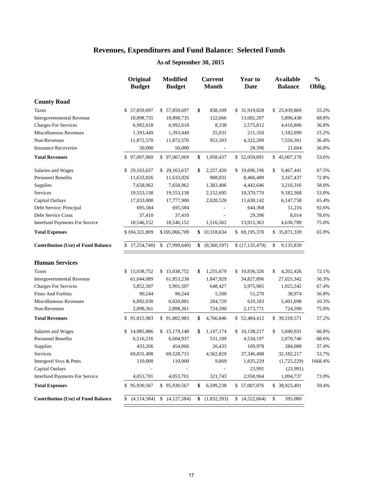|                                           | Original<br><b>Budget</b> | <b>Modified</b><br><b>Budget</b> | <b>Current</b><br><b>Month</b> | <b>Year to</b><br>Date | <b>Available</b><br><b>Balance</b> | $\frac{0}{0}$<br>Oblig. |
|-------------------------------------------|---------------------------|----------------------------------|--------------------------------|------------------------|------------------------------------|-------------------------|
| <b>County Road</b>                        |                           |                                  |                                |                        |                                    |                         |
| <b>Taxes</b>                              | \$57,859,697              | \$57,859,697                     | \$<br>838,109                  | \$ 31,919,828          | \$25,939,869                       | 55.2%                   |
| Intergovernmental Revenue                 | 18,898,735                | 18,898,735                       | 122,666                        | 13,002,297             | 5,896,438                          | 68.8%                   |
| <b>Charges For Services</b>               | 6,992,618                 | 6,992,618                        | 8,338                          | 2,575,812              | 4,416,806                          | 36.8%                   |
| Miscellaneous Revenues                    | 1,393,449                 | 1,393,449                        | 35,931                         | 211,350                | 1,182,099                          | 15.2%                   |
| Non-Revenues                              | 11,872,570                | 11,872,570                       | 953,393                        | 4,322,209              | 7,550,361                          | 36.4%                   |
| <b>Insurance Recoveries</b>               | 50,000                    | 50,000                           |                                | 28,396                 | 21,604                             | 56.8%                   |
| <b>Total Revenues</b>                     | \$97,067,069              | \$97,067,069                     | 1,958,437<br>\$                | \$52,059,891           | \$45,007,178                       | 53.6%                   |
| Salaries and Wages                        | \$29,163,637              | \$29,163,637                     | \$<br>2,257,420                | \$19,696,196           | \$<br>9,467,441                    | 67.5%                   |
| <b>Personnel Benefits</b>                 | 11,633,926                | 11,633,926                       | 988,031                        | 8,466,489              | 3,167,437                          | 72.8%                   |
| Supplies                                  | 7,658,962                 | 7,658,962                        | 1,383,406                      | 4,442,646              | 3,216,316                          | 58.0%                   |
| Services                                  | 19,553,138                | 19,553,138                       | 2,152,695                      | 10,370,770             | 9,182,368                          | 53.0%                   |
| Capital Outlays                           | 17,033,000                | 17,777,900                       | 2,020,520                      | 11,630,142             | 6,147,758                          | 65.4%                   |
| Debt Service: Principal                   | 695,584                   | 695,584                          |                                | 644,368                | 51,216                             | 92.6%                   |
| Debt Service Costs                        | 37,410                    | 37,410                           |                                | 29,396                 | 8,014                              | 78.6%                   |
| <b>Interfund Payments For Service</b>     | 18,546,152                | 18,546,152                       | 1,516,562                      | 13,915,363             | 4,630,789                          | 75.0%                   |
| <b>Total Expenses</b>                     | \$104,321,809             | \$105,066,709                    | \$10,318,634                   | \$69,195,370           | \$ 35,871,339                      | 65.9%                   |
| <b>Contribution (Use) of Fund Balance</b> | \$<br>(7, 254, 740)       | (7,999,640)<br>\$                | \$<br>(8,360,197)              | \$(17,135,479)         | \$<br>9,135,839                    |                         |
| <b>Human Services</b>                     |                           |                                  |                                |                        |                                    |                         |
| Taxes                                     | \$15,038,752              | \$15,038,752                     | \$<br>1,255,679                | \$10,836,326           | \$<br>4,202,426                    | 72.1%                   |
| Intergovernmental Revenue                 | 61,044,089                | 61,853,238                       | 1,847,929                      | 34,827,896             | 27,025,342                         | 56.3%                   |
| <b>Charges For Services</b>               | 5,852,507                 | 5,901,507                        | 648,427                        | 3,975,965              | 1,925,542                          | 67.4%                   |
| Fines And Forfeits                        | 90,244                    | 90,244                           | 5,500                          | 51,270                 | 38,974                             | 56.8%                   |
| Miscellaneous Revenues                    | 6,892,030                 | 6,020,881                        | 284,720                        | 619,183                | 5,401,698                          | 10.3%                   |
| Non-Revenues                              | 2,898,361                 | 2,898,361                        | 724,590                        | 2,173,771              | 724,590                            | 75.0%                   |
| <b>Total Revenues</b>                     | \$91,815,983              | \$91,802,983                     | \$<br>4,766,846                | \$52,484,412           | \$ 39,318,571                      | 57.2%                   |
| Salaries and Wages                        | \$14,985,886              | \$15,179,148                     | \$<br>1,147,174                | \$10,138,217           | \$<br>5,040,931                    | 66.8%                   |
| <b>Personnel Benefits</b>                 | 6,516,216                 | 6,604,937                        | 531,189                        | 4,534,197              | 2,070,740                          | 68.6%                   |
| Supplies                                  | 433,266                   | 454,066                          | 26,433                         | 169,978                | 284,088                            | 37.4%                   |
| Services                                  | 69,831,498                | 69,528,715                       | 4,562,829                      | 37,346,498             | 32,182,217                         | 53.7%                   |
| Intergovtl Svcs & Pmts                    | 110,000                   | 110,000                          | 9,869                          | 1,835,229              | (1,725,229)                        | 1668.4%                 |
| Capital Outlays                           |                           |                                  |                                | 23,991                 | (23,991)                           |                         |
| <b>Interfund Payments For Service</b>     | 4,053,701                 | 4,053,701                        | 321,743                        | 2,958,964              | 1,094,737                          | 73.0%                   |
| <b>Total Expenses</b>                     | \$95,930,567              | \$95,930,567                     | 6,599,238<br>\$                | \$57,007,076           | \$ 38,923,491                      | 59.4%                   |
| <b>Contribution (Use) of Fund Balance</b> | (4,114,584)               | S.<br>(4,127,584)                | (1,832,393)<br>\$              | \$<br>(4,522,664)      | \$<br>395,080                      |                         |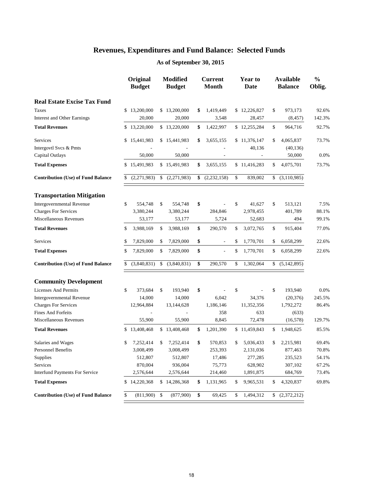|                                           |    | Original<br><b>Budget</b> |               | <b>Modified</b><br><b>Budget</b> |    | <b>Current</b><br><b>Month</b> | Year to<br>Date          |               | <b>Available</b><br><b>Balance</b> | $\frac{0}{0}$<br>Oblig. |
|-------------------------------------------|----|---------------------------|---------------|----------------------------------|----|--------------------------------|--------------------------|---------------|------------------------------------|-------------------------|
| <b>Real Estate Excise Tax Fund</b>        |    |                           |               |                                  |    |                                |                          |               |                                    |                         |
| <b>Taxes</b>                              |    | \$13,200,000              |               | \$13,200,000                     | \$ | 1,419,449                      | \$12,226,827             | \$            | 973,173                            | 92.6%                   |
| <b>Interest and Other Earnings</b>        |    | 20,000                    |               | 20,000                           |    | 3,548                          | 28,457                   |               | (8, 457)                           | 142.3%                  |
| <b>Total Revenues</b>                     |    | \$13,220,000              |               | \$13,220,000                     | \$ | 1,422,997                      | \$12,255,284             | \$            | 964,716                            | 92.7%                   |
| Services                                  |    | \$15,441,983              |               | \$15,441,983                     | \$ | 3,655,155                      | \$11,376,147             | \$            | 4,065,837                          | 73.7%                   |
| Intergovtl Svcs & Pmts                    |    |                           |               |                                  |    | $\overline{a}$                 | 40,136                   |               | (40, 136)                          |                         |
| Capital Outlays                           |    | 50,000                    |               | 50,000                           |    | $\qquad \qquad -$              | $\overline{\phantom{a}}$ |               | 50,000                             | 0.0%                    |
| <b>Total Expenses</b>                     |    | \$15,491,983              |               | \$15,491,983                     | \$ | 3,655,155                      | \$11,416,283             | \$            | 4,075,701                          | 73.7%                   |
| <b>Contribution (Use) of Fund Balance</b> | \$ | (2,271,983)               | \$            | (2,271,983)                      | \$ | (2, 232, 158)                  | \$<br>839,002            | $\mathbb{S}$  | (3,110,985)                        |                         |
| <b>Transportation Mitigation</b>          |    |                           |               |                                  |    |                                |                          |               |                                    |                         |
| <b>Intergovernmental Revenue</b>          | \$ | 554,748                   | \$            | 554,748                          | \$ |                                | \$<br>41,627             | \$            | 513,121                            | 7.5%                    |
| <b>Charges For Services</b>               |    | 3,380,244                 |               | 3,380,244                        |    | 284,846                        | 2,978,455                |               | 401,789                            | 88.1%                   |
| Miscellaneous Revenues                    |    | 53,177                    |               | 53,177                           |    | 5,724                          | 52,683                   |               | 494                                | 99.1%                   |
| <b>Total Revenues</b>                     | \$ | 3,988,169                 | \$            | 3,988,169                        | \$ | 290,570                        | \$<br>3,072,765          | \$            | 915,404                            | 77.0%                   |
| <b>Services</b>                           | \$ | 7,829,000                 | \$            | 7,829,000                        | \$ | $\overline{a}$                 | \$<br>1,770,701          | \$            | 6,058,299                          | 22.6%                   |
| <b>Total Expenses</b>                     | \$ | 7,829,000                 | \$            | 7,829,000                        | \$ | L,                             | \$<br>1,770,701          | \$            | 6,058,299                          | 22.6%                   |
| <b>Contribution (Use) of Fund Balance</b> | \$ | (3,840,831)               | \$            | (3,840,831)                      | \$ | 290,570                        | \$<br>1,302,064          | \$            | (5, 142, 895)                      |                         |
| <b>Community Development</b>              |    |                           |               |                                  |    |                                |                          |               |                                    |                         |
| <b>Licenses And Permits</b>               | \$ | 373,684                   | \$            | 193,940                          | \$ |                                | \$                       | \$            | 193,940                            | 0.0%                    |
| <b>Intergovernmental Revenue</b>          |    | 14,000                    |               | 14,000                           |    | 6,042                          | 34,376                   |               | (20, 376)                          | 245.5%                  |
| <b>Charges For Services</b>               |    | 12,964,884                |               | 13,144,628                       |    | 1,186,146                      | 11,352,356               |               | 1,792,272                          | 86.4%                   |
| <b>Fines And Forfeits</b>                 |    | L,                        |               | L,                               |    | 358                            | 633                      |               | (633)                              |                         |
| Miscellaneous Revenues                    |    | 55,900                    |               | 55,900                           |    | 8,845                          | 72,478                   |               | (16, 578)                          | 129.7%                  |
| <b>Total Revenues</b>                     |    | \$13,408,468              |               | \$13,408,468                     | \$ | 1,201,390                      | \$11,459,843             | $\mathsf{\$}$ | 1,948,625                          | 85.5%                   |
| Salaries and Wages                        | \$ | 7,252,414                 | \$            | 7,252,414                        | \$ | 570,853                        | \$<br>5,036,433          | \$            | 2,215,981                          | 69.4%                   |
| <b>Personnel Benefits</b>                 |    | 3,008,499                 |               | 3,008,499                        |    | 253,393                        | 2,131,036                |               | 877,463                            | 70.8%                   |
| <b>Supplies</b>                           |    | 512,807                   |               | 512,807                          |    | 17,486                         | 277,285                  |               | 235,523                            | 54.1%                   |
| Services                                  |    | 870,004                   |               | 936,004                          |    | 75,773                         | 628,902                  |               | 307,102                            | 67.2%                   |
| <b>Interfund Payments For Service</b>     |    | 2,576,644                 |               | 2,576,644                        |    | 214,460                        | 1,891,875                |               | 684,769                            | 73.4%                   |
| <b>Total Expenses</b>                     |    | \$14,220,368              |               | \$14,286,368                     | \$ | 1,131,965                      | \$<br>9,965,531          | \$            | 4,320,837                          | 69.8%                   |
| <b>Contribution (Use) of Fund Balance</b> | \$ | (811,900)                 | $\mathcal{S}$ | (877,900)                        | \$ | 69,425                         | \$<br>1,494,312          | \$            | (2,372,212)                        |                         |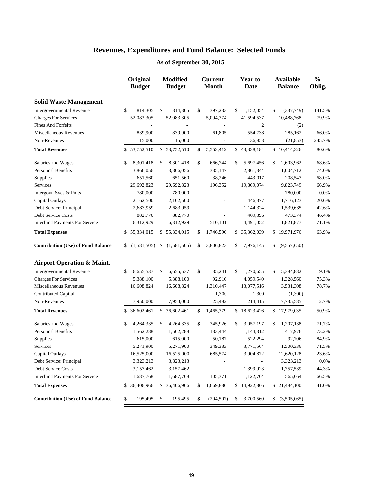|                                           | Original<br><b>Budget</b> | <b>Modified</b><br><b>Budget</b> | <b>Current</b><br>Month | <b>Year to</b><br><b>Date</b> | <b>Available</b><br><b>Balance</b> | $\frac{0}{0}$<br>Oblig. |
|-------------------------------------------|---------------------------|----------------------------------|-------------------------|-------------------------------|------------------------------------|-------------------------|
| <b>Solid Waste Management</b>             |                           |                                  |                         |                               |                                    |                         |
| Intergovernmental Revenue                 | \$<br>814,305             | \$<br>814,305                    | \$<br>397,233           | 1,152,054<br>\$               | (337,749)<br>\$                    | 141.5%                  |
| <b>Charges For Services</b>               | 52,083,305                | 52,083,305                       | 5,094,374               | 41,594,537                    | 10,488,768                         | 79.9%                   |
| <b>Fines And Forfeits</b>                 |                           |                                  |                         | 2                             | (2)                                |                         |
| <b>Miscellaneous Revenues</b>             | 839,900                   | 839,900                          | 61,805                  | 554,738                       | 285,162                            | 66.0%                   |
| Non-Revenues                              | 15,000                    | 15,000                           |                         | 36,853                        | (21, 853)                          | 245.7%                  |
| <b>Total Revenues</b>                     | \$53,752,510              | \$53,752,510                     | \$<br>5,553,412         | \$43,338,184                  | \$10,414,326                       | 80.6%                   |
| Salaries and Wages                        | 8,301,418<br>\$           | \$<br>8,301,418                  | \$<br>666,744           | 5,697,456<br>\$               | \$<br>2,603,962                    | 68.6%                   |
| Personnel Benefits                        | 3,866,056                 | 3,866,056                        | 335,147                 | 2,861,344                     | 1,004,712                          | 74.0%                   |
| Supplies                                  | 651,560                   | 651,560                          | 38,246                  | 443,017                       | 208,543                            | 68.0%                   |
| Services                                  | 29,692,823                | 29,692,823                       | 196,352                 | 19,869,074                    | 9,823,749                          | 66.9%                   |
| Intergovtl Svcs & Pmts                    | 780,000                   | 780,000                          |                         |                               | 780,000                            | 0.0%                    |
| Capital Outlays                           | 2,162,500                 | 2,162,500                        |                         | 446,377                       | 1,716,123                          | 20.6%                   |
| Debt Service: Principal                   | 2,683,959                 | 2,683,959                        |                         | 1,144,324                     | 1,539,635                          | 42.6%                   |
| <b>Debt Service Costs</b>                 | 882,770                   | 882,770                          |                         | 409,396                       | 473,374                            | 46.4%                   |
| Interfund Payments For Service            | 6,312,929                 | 6,312,929                        | 510,101                 | 4,491,052                     | 1,821,877                          | 71.1%                   |
| <b>Total Expenses</b>                     | \$55,334,015              | \$55,334,015                     | 1,746,590<br>\$         | \$35,362,039                  | \$19,971,976                       | 63.9%                   |
| <b>Contribution (Use) of Fund Balance</b> | (1,581,505)<br>\$         | (1,581,505)<br>\$                | \$<br>3,806,823         | 7,976,145<br>\$               | (9,557,650)<br>\$                  |                         |
| <b>Airport Operation &amp; Maint.</b>     |                           |                                  |                         |                               |                                    |                         |
| <b>Intergovernmental Revenue</b>          | 6,655,537<br>\$           | 6,655,537<br>\$                  | \$<br>35,241            | 1,270,655<br>\$               | 5,384,882<br>\$                    | 19.1%                   |
| <b>Charges For Services</b>               | 5,388,100                 | 5,388,100                        | 92,910                  | 4,059,540                     | 1,328,560                          | 75.3%                   |
| Miscellaneous Revenues                    | 16,608,824                | 16,608,824                       | 1,310,447               | 13,077,516                    | 3,531,308                          | 78.7%                   |
| Contributed Capital                       |                           |                                  | 1,300                   | 1,300                         | (1,300)                            |                         |
| Non-Revenues                              | 7,950,000                 | 7,950,000                        | 25,482                  | 214,415                       | 7,735,585                          | 2.7%                    |
| <b>Total Revenues</b>                     | \$ 36,602,461             | \$ 36,602,461                    | \$<br>1,465,379         | \$18,623,426                  | \$17,979,035                       | 50.9%                   |
| Salaries and Wages                        | 4,264,335<br>\$           | 4,264,335<br>\$                  | \$<br>345,926           | 3,057,197<br>\$               | 1,207,138<br>\$                    | 71.7%                   |
| <b>Personnel Benefits</b>                 | 1,562,288                 | 1,562,288                        | 133,444                 | 1,144,312                     | 417,976                            | 73.2%                   |
| Supplies                                  | 615,000                   | 615,000                          | 50,187                  | 522,294                       | 92,706                             | 84.9%                   |
| Services                                  | 5,271,900                 | 5,271,900                        | 349,383                 | 3,771,564                     | 1,500,336                          | 71.5%                   |
| Capital Outlays                           | 16,525,000                | 16,525,000                       | 685,574                 | 3,904,872                     | 12,620,128                         | 23.6%                   |
| Debt Service: Principal                   | 3,323,213                 | 3,323,213                        |                         | $\overline{\phantom{a}}$      | 3,323,213                          | 0.0%                    |
| Debt Service Costs                        | 3,157,462                 | 3,157,462                        |                         | 1,399,923                     | 1,757,539                          | 44.3%                   |
| <b>Interfund Payments For Service</b>     | 1,687,768                 | 1,687,768                        | 105,371                 | 1,122,704                     | 565,064                            | 66.5%                   |
| <b>Total Expenses</b>                     | \$ 36,406,966             | \$ 36,406,966                    | \$<br>1,669,886         | \$14,922,866                  | \$21,484,100                       | 41.0%                   |
| <b>Contribution (Use) of Fund Balance</b> | \$<br>195,495             | \$<br>195,495                    | \$<br>(204, 507)        | 3,700,560<br>\$               | (3,505,065)<br>\$                  |                         |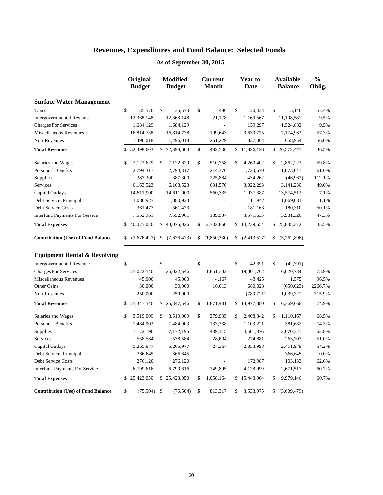|                                           | Original<br><b>Budget</b> | <b>Modified</b><br><b>Budget</b> | <b>Current</b><br><b>Month</b> | Year to<br>Date   | <b>Available</b><br><b>Balance</b> | $\frac{0}{0}$<br>Oblig. |
|-------------------------------------------|---------------------------|----------------------------------|--------------------------------|-------------------|------------------------------------|-------------------------|
| <b>Surface Water Management</b>           |                           |                                  |                                |                   |                                    |                         |
| Taxes                                     | \$<br>35,570              | \$<br>35,570                     | \$<br>480                      | \$<br>20,424      | \$<br>15,146                       | 57.4%                   |
| <b>Intergovernmental Revenue</b>          | 12,368,148                | 12,368,148                       | 21,178                         | 1,169,567         | 11,198,581                         | 9.5%                    |
| <b>Charges For Services</b>               | 1,684,129                 | 1,684,129                        |                                | 159,297           | 1,524,832                          | 9.5%                    |
| Miscellaneous Revenues                    | 16,814,738                | 16,814,738                       | 199,643                        | 9,639,775         | 7,174,963                          | 57.3%                   |
| Non-Revenues                              | 1,496,018                 | 1,496,018                        | 261,229                        | 837,064           | 658,954                            | 56.0%                   |
| <b>Total Revenues</b>                     | \$32,398,603              | \$32,398,603                     | \$<br>482,530                  | \$11,826,126      | \$20,572,477                       | 36.5%                   |
| Salaries and Wages                        | \$<br>7,122,629           | \$<br>7,122,629                  | \$<br>510,758                  | \$<br>4,260,402   | \$<br>2,862,227                    | 59.8%                   |
| <b>Personnel Benefits</b>                 | 2,794,317                 | 2,794,317                        | 214,376                        | 1,720,670         | 1,073,647                          | 61.6%                   |
| Supplies                                  | 387,300                   | 387,300                          | 225,884                        | 434,262           | (46,962)                           | 112.1%                  |
| Services                                  | 6,163,523                 | 6,163,523                        | 631,570                        | 3,022,293         | 3,141,230                          | 49.0%                   |
| Capital Outlays                           | 14,611,900                | 14,611,900                       | 560,335                        | 1,037,387         | 13,574,513                         | 7.1%                    |
| Debt Service: Principal                   | 1,080,923                 | 1,080,923                        |                                | 11,842            | 1,069,081                          | 1.1%                    |
| <b>Debt Service Costs</b>                 | 361,473                   | 361,473                          |                                | 181,163           | 180,310                            | 50.1%                   |
| <b>Interfund Payments For Service</b>     | 7,552,961                 | 7,552,961                        | 189,937                        | 3,571,635         | 3,981,326                          | 47.3%                   |
| <b>Total Expenses</b>                     | \$40,075,026              | \$40,075,026                     | \$<br>2,332,860                | \$14,239,654      | \$25,835,372                       | 35.5%                   |
| <b>Contribution (Use) of Fund Balance</b> | \$<br>(7,676,423)         | \$<br>(7,676,423)                | \$<br>(1,850,330)              | \$<br>(2,413,527) | \$<br>(5,262,896)                  |                         |
| <b>Equipment Rental &amp; Revolving</b>   |                           |                                  |                                |                   |                                    |                         |
| <b>Intergovernmental Revenue</b>          | \$                        | \$                               | \$                             | \$<br>42,391      | \$<br>(42, 391)                    |                         |
| <b>Charges For Services</b>               | 25,022,546                | 25,022,546                       | 1,851,302                      | 19,001,762        | 6,020,784                          | 75.9%                   |
| Miscellaneous Revenues                    | 45,000                    | 45,000                           | 4,167                          | 43,425            | 1,575                              | 96.5%                   |
| <b>Other Gains</b>                        | 30,000                    | 30,000                           | 16,013                         | 680,023           | (650, 023)                         | 2266.7%                 |
| Non-Revenues                              | 250,000                   | 250,000                          |                                | (789, 721)        | 1,039,721                          | $-315.9%$               |
| <b>Total Revenues</b>                     | \$25,347,546              | \$25,347,546                     | \$<br>1,871,481                | \$18,977,880      | \$<br>6,369,666                    | 74.9%                   |
| Salaries and Wages                        | \$<br>3,519,009           | \$<br>3,519,009                  | \$<br>279,935                  | \$<br>2,408,842   | \$<br>1,110,167                    | 68.5%                   |
| <b>Personnel Benefits</b>                 | 1,484,903                 | 1,484,903                        | 133,338                        | 1,103,221         | 381,682                            | 74.3%                   |
| Supplies                                  | 7,172,196                 | 7,172,196                        | 439,115                        | 4,501,876         | 2,670,321                          | 62.8%                   |
| Services                                  | 538,584                   | 538,584                          | 28,604                         | 274,881           | 263,703                            | 51.0%                   |
| Capital Outlays                           | 5,265,977                 | 5,265,977                        | 27,367                         | 2,853,998         | 2,411,979                          | 54.2%                   |
| Debt Service: Principal                   | 366,645                   | 366,645                          |                                |                   | 366,645                            | 0.0%                    |
| <b>Debt Service Costs</b>                 | 276,120                   | 276,120                          | $\overline{a}$                 | 172,987           | 103,133                            | 62.6%                   |
| <b>Interfund Payments For Service</b>     | 6,799,616                 | 6,799,616                        | 149,805                        | 4,128,099         | 2,671,517                          | 60.7%                   |
| <b>Total Expenses</b>                     | \$25,423,050              | \$25,423,050                     | \$<br>1,058,164                | \$15,443,904      | \$<br>9,979,146                    | 60.7%                   |
| <b>Contribution (Use) of Fund Balance</b> | \$<br>(75, 504)           | \$<br>(75, 504)                  | \$<br>813,317                  | \$<br>3,533,975   | \$<br>(3,609,479)                  |                         |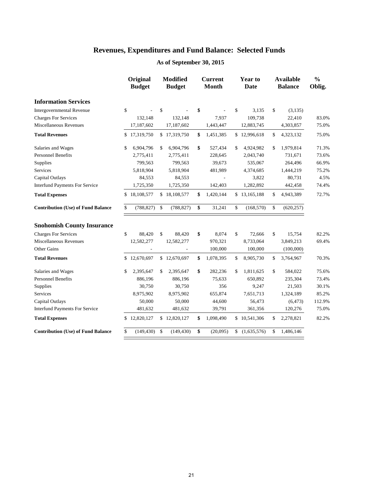|                                                 | Original<br><b>Budget</b> |              | <b>Modified</b><br><b>Budget</b> | <b>Current</b><br><b>Month</b> | Year to<br><b>Date</b> |               | <b>Available</b><br><b>Balance</b> | $\frac{0}{0}$<br>Oblig. |
|-------------------------------------------------|---------------------------|--------------|----------------------------------|--------------------------------|------------------------|---------------|------------------------------------|-------------------------|
| <b>Information Services</b>                     |                           |              |                                  |                                |                        |               |                                    |                         |
| \$<br><b>Intergovernmental Revenue</b>          |                           | \$           |                                  | \$                             | \$<br>3,135            | \$            | (3, 135)                           |                         |
| <b>Charges For Services</b>                     | 132,148                   |              | 132,148                          | 7,937                          | 109,738                |               | 22,410                             | 83.0%                   |
| Miscellaneous Revenues                          | 17,187,602                |              | 17,187,602                       | 1,443,447                      | 12,883,745             |               | 4,303,857                          | 75.0%                   |
| <b>Total Revenues</b><br>\$                     | 17,319,750                |              | \$17,319,750                     | \$<br>1,451,385                | \$12,996,618           | \$            | 4,323,132                          | 75.0%                   |
| Salaries and Wages<br>\$                        | 6,904,796                 | \$           | 6,904,796                        | \$<br>527,434                  | \$<br>4,924,982        | \$            | 1,979,814                          | 71.3%                   |
| <b>Personnel Benefits</b>                       | 2,775,411                 |              | 2,775,411                        | 228,645                        | 2,043,740              |               | 731,671                            | 73.6%                   |
| Supplies                                        | 799,563                   |              | 799,563                          | 39,673                         | 535,067                |               | 264,496                            | 66.9%                   |
| Services                                        | 5,818,904                 |              | 5,818,904                        | 481,989                        | 4,374,685              |               | 1,444,219                          | 75.2%                   |
| Capital Outlays                                 | 84,553                    |              | 84,553                           |                                | 3,822                  |               | 80,731                             | 4.5%                    |
| <b>Interfund Payments For Service</b>           | 1,725,350                 |              | 1,725,350                        | 142,403                        | 1,282,892              |               | 442,458                            | 74.4%                   |
| <b>Total Expenses</b><br>\$                     | 18,108,577                |              | \$18,108,577                     | \$<br>1,420,144                | \$13,165,188           | \$            | 4,943,389                          | 72.7%                   |
| \$<br><b>Contribution (Use) of Fund Balance</b> | (788, 827)                | $\mathbb{S}$ | (788, 827)                       | \$<br>31,241                   | \$<br>(168, 570)       | \$            | (620, 257)                         |                         |
| <b>Snohomish County Insurance</b>               |                           |              |                                  |                                |                        |               |                                    |                         |
| \$<br><b>Charges For Services</b>               | 88,420                    | \$           | 88,420                           | \$<br>8,074                    | \$<br>72,666           | \$            | 15,754                             | 82.2%                   |
| Miscellaneous Revenues                          | 12,582,277                |              | 12,582,277                       | 970,321                        | 8,733,064              |               | 3,849,213                          | 69.4%                   |
| <b>Other Gains</b>                              |                           |              |                                  | 100,000                        | 100,000                |               | (100,000)                          |                         |
| <b>Total Revenues</b>                           | \$12,670,697              |              | \$12,670,697                     | \$<br>1,078,395                | \$<br>8,905,730        | \$            | 3,764,967                          | 70.3%                   |
| Salaries and Wages<br>\$                        | 2,395,647                 | \$           | 2,395,647                        | \$<br>282,236                  | \$<br>1,811,625        | \$            | 584,022                            | 75.6%                   |
| <b>Personnel Benefits</b>                       | 886,196                   |              | 886,196                          | 75,633                         | 650,892                |               | 235,304                            | 73.4%                   |
| Supplies                                        | 30,750                    |              | 30,750                           | 356                            | 9,247                  |               | 21,503                             | 30.1%                   |
| Services                                        | 8,975,902                 |              | 8,975,902                        | 655,874                        | 7,651,713              |               | 1,324,189                          | 85.2%                   |
| Capital Outlays                                 | 50,000                    |              | 50,000                           | 44,600                         | 56,473                 |               | (6, 473)                           | 112.9%                  |
| <b>Interfund Payments For Service</b>           | 481,632                   |              | 481,632                          | 39,791                         | 361,356                |               | 120,276                            | 75.0%                   |
| <b>Total Expenses</b>                           | \$12,820,127              |              | \$12,820,127                     | \$<br>1,098,490                | \$10,541,306           | \$            | 2,278,821                          | 82.2%                   |
| <b>Contribution (Use) of Fund Balance</b><br>\$ | (149, 430)                | \$           | (149, 430)                       | \$<br>(20,095)                 | \$<br>(1,635,576)      | $\mathsf{\$}$ | 1,486,146                          |                         |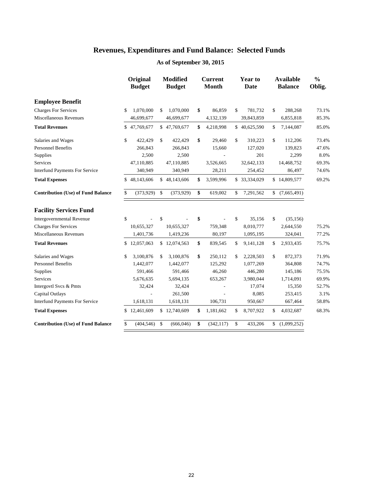|                                           | Original<br><b>Budget</b> |              | <b>Modified</b><br><b>Budget</b> | <b>Current</b><br><b>Month</b> | Year to<br>Date | <b>Available</b><br><b>Balance</b> | $\frac{0}{0}$<br>Oblig. |
|-------------------------------------------|---------------------------|--------------|----------------------------------|--------------------------------|-----------------|------------------------------------|-------------------------|
| <b>Employee Benefit</b>                   |                           |              |                                  |                                |                 |                                    |                         |
| <b>Charges For Services</b>               | \$<br>1,070,000           | \$           | 1,070,000                        | \$<br>86,859                   | \$<br>781,732   | \$<br>288,268                      | 73.1%                   |
| Miscellaneous Revenues                    | 46,699,677                |              | 46,699,677                       | 4,132,139                      | 39,843,859      | 6,855,818                          | 85.3%                   |
| <b>Total Revenues</b>                     | \$<br>47,769,677          |              | \$47,769,677                     | \$<br>4,218,998                | \$40,625,590    | \$<br>7,144,087                    | 85.0%                   |
| Salaries and Wages                        | \$<br>422,429             | \$           | 422,429                          | \$<br>29,460                   | \$<br>310,223   | \$<br>112,206                      | 73.4%                   |
| <b>Personnel Benefits</b>                 | 266,843                   |              | 266,843                          | 15,660                         | 127,020         | 139,823                            | 47.6%                   |
| Supplies                                  | 2,500                     |              | 2,500                            |                                | 201             | 2,299                              | 8.0%                    |
| Services                                  | 47,110,885                |              | 47,110,885                       | 3,526,665                      | 32,642,133      | 14,468,752                         | 69.3%                   |
| <b>Interfund Payments For Service</b>     | 340,949                   |              | 340,949                          | 28,211                         | 254,452         | 86,497                             | 74.6%                   |
| <b>Total Expenses</b>                     | \$<br>48,143,606          |              | \$48,143,606                     | \$<br>3,599,996                | \$ 33,334,029   | \$14,809,577                       | 69.2%                   |
| <b>Contribution (Use) of Fund Balance</b> | \$<br>(373,929)           | \$           | (373,929)                        | \$<br>619,002                  | \$<br>7,291,562 | \$<br>(7,665,491)                  |                         |
| <b>Facility Services Fund</b>             |                           |              |                                  |                                |                 |                                    |                         |
| <b>Intergovernmental Revenue</b>          | \$                        | \$           |                                  | \$                             | \$<br>35,156    | \$<br>(35, 156)                    |                         |
| <b>Charges For Services</b>               | 10,655,327                |              | 10,655,327                       | 759,348                        | 8,010,777       | 2,644,550                          | 75.2%                   |
| Miscellaneous Revenues                    | 1,401,736                 |              | 1,419,236                        | 80,197                         | 1,095,195       | 324,041                            | 77.2%                   |
| <b>Total Revenues</b>                     | \$<br>12,057,063          |              | \$12,074,563                     | \$<br>839,545                  | \$<br>9,141,128 | \$<br>2,933,435                    | 75.7%                   |
| Salaries and Wages                        | \$<br>3,100,876           | \$           | 3,100,876                        | \$<br>250,112                  | \$<br>2,228,503 | \$<br>872,373                      | 71.9%                   |
| <b>Personnel Benefits</b>                 | 1,442,077                 |              | 1,442,077                        | 125,292                        | 1,077,269       | 364,808                            | 74.7%                   |
| Supplies                                  | 591,466                   |              | 591,466                          | 46,260                         | 446,280         | 145,186                            | 75.5%                   |
| <b>Services</b>                           | 5,676,635                 |              | 5,694,135                        | 653,267                        | 3,980,044       | 1,714,091                          | 69.9%                   |
| Intergovtl Svcs & Pmts                    | 32,424                    |              | 32,424                           |                                | 17,074          | 15,350                             | 52.7%                   |
| Capital Outlays                           |                           |              | 261,500                          |                                | 8,085           | 253,415                            | 3.1%                    |
| <b>Interfund Payments For Service</b>     | 1,618,131                 |              | 1,618,131                        | 106,731                        | 950,667         | 667,464                            | 58.8%                   |
| <b>Total Expenses</b>                     | \$<br>12,461,609          |              | \$12,740,609                     | \$<br>1,181,662                | \$<br>8,707,922 | \$<br>4,032,687                    | 68.3%                   |
| <b>Contribution (Use) of Fund Balance</b> | \$<br>(404, 546)          | $\mathbb{S}$ | (666, 046)                       | \$<br>(342, 117)               | \$<br>433,206   | \$<br>(1,099,252)                  |                         |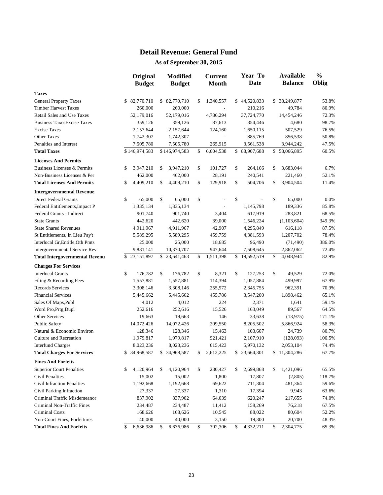#### **Detail Revenue: General Fund**

|                                       |    | Original<br><b>Budget</b> | <b>Modified</b><br><b>Budget</b> | <b>Current</b><br><b>Month</b> | Year To<br>Date | <b>Available</b><br><b>Balance</b> | $\frac{0}{0}$<br>Oblig |
|---------------------------------------|----|---------------------------|----------------------------------|--------------------------------|-----------------|------------------------------------|------------------------|
| <b>Taxes</b>                          |    |                           |                                  |                                |                 |                                    |                        |
| <b>General Property Taxes</b>         |    | \$82,770,710              | \$ 82,770,710                    | \$<br>1,340,557                | \$44,520,833    | \$<br>38,249,877                   | 53.8%                  |
| <b>Timber Harvest Taxes</b>           |    | 260,000                   | 260,000                          |                                | 210,216         | 49,784                             | 80.9%                  |
| Retail Sales and Use Taxes            |    | 52,179,016                | 52,179,016                       | 4,786,294                      | 37,724,770      | 14,454,246                         | 72.3%                  |
| <b>Business TaxesExcise Taxes</b>     |    | 359,126                   | 359,126                          | 87,613                         | 354,446         | 4,680                              | 98.7%                  |
| <b>Excise Taxes</b>                   |    | 2,157,644                 | 2,157,644                        | 124,160                        | 1,650,115       | 507,529                            | 76.5%                  |
| <b>Other Taxes</b>                    |    | 1,742,307                 | 1,742,307                        |                                | 885,769         | 856,538                            | 50.8%                  |
| Penalties and Interest                |    | 7,505,780                 | 7,505,780                        | 265,915                        | 3,561,538       | 3,944,242                          | 47.5%                  |
| <b>Total Taxes</b>                    |    | \$146,974,583             | \$146,974,583                    | \$<br>6,604,538                | \$88,907,688    | \$58,066,895                       | 60.5%                  |
| <b>Licenses And Permits</b>           |    |                           |                                  |                                |                 |                                    |                        |
| Business Licenses & Permits           | S  | 3,947,210                 | \$<br>3,947,210                  | \$<br>101,727                  | \$<br>264,166   | \$<br>3,683,044                    | 6.7%                   |
| Non-Business Licenses & Per           |    | 462,000                   | 462,000                          | 28,191                         | 240,541         | 221,460                            | 52.1%                  |
| <b>Total Licenses And Permits</b>     | \$ | 4,409,210                 | \$<br>4,409,210                  | \$<br>129,918                  | \$<br>504,706   | \$<br>3,904,504                    | 11.4%                  |
| <b>Intergovernmental Revenue</b>      |    |                           |                                  |                                |                 |                                    |                        |
| Direct Federal Grants                 | \$ | 65,000                    | \$<br>65,000                     | \$                             | \$              | \$<br>65,000                       | 0.0%                   |
| Federal Entitlements, Impact P        |    | 1,335,134                 | 1,335,134                        |                                | 1,145,798       | 189,336                            | 85.8%                  |
| Federal Grants - Indirect             |    | 901,740                   | 901,740                          | 3,404                          | 617,919         | 283,821                            | 68.5%                  |
| <b>State Grants</b>                   |    | 442,620                   | 442,620                          | 39,000                         | 1,546,224       | (1,103,604)                        | 349.3%                 |
| <b>State Shared Revenues</b>          |    | 4,911,967                 | 4,911,967                        | 42,907                         | 4,295,849       | 616,118                            | 87.5%                  |
| St Entitlements, In Lieu Pay't        |    | 5,589,295                 | 5,589,295                        | 459,759                        | 4,381,593       | 1,207,702                          | 78.4%                  |
| Interlocal Gr, Entitle, Oth Pmts      |    | 25,000                    | 25,000                           | 18,685                         | 96,490          | (71, 490)                          | 386.0%                 |
| Intergovernmental Service Rev         |    | 9,881,141                 | 10,370,707                       | 947,644                        | 7,508,645       | 2,862,062                          | 72.4%                  |
| <b>Total Intergovernmental Revenu</b> |    | \$23,151,897              | \$<br>23,641,463                 | \$<br>1,511,398                | \$19,592,519    | \$<br>4,048,944                    | 82.9%                  |
| <b>Charges For Services</b>           |    |                           |                                  |                                |                 |                                    |                        |
| <b>Interlocal Grants</b>              | \$ | 176,782                   | \$<br>176,782                    | \$<br>8,321                    | \$<br>127,253   | \$<br>49,529                       | 72.0%                  |
| Filing & Recording Fees               |    | 1,557,881                 | 1,557,881                        | 114,394                        | 1,057,884       | 499,997                            | 67.9%                  |
| <b>Records Services</b>               |    | 3,308,146                 | 3,308,146                        | 255,972                        | 2,345,755       | 962,391                            | 70.9%                  |
| <b>Financial Services</b>             |    | 5,445,662                 | 5,445,662                        | 455,786                        | 3,547,200       | 1,898,462                          | 65.1%                  |
| Sales Of Maps, Publ                   |    | 4,012                     | 4,012                            | 224                            | 2,371           | 1,641                              | 59.1%                  |
| Word Pro, Prtg, Dupl                  |    | 252,616                   | 252,616                          | 15,526                         | 163,049         | 89,567                             | 64.5%                  |
| Other Services                        |    | 19,663                    | 19,663                           | 146                            | 33,638          | (13, 975)                          | 171.1%                 |
| <b>Public Safety</b>                  |    | 14,072,426                | 14,072,426                       | 209,550                        | 8,205,502       | 5,866,924                          | 58.3%                  |
| Natural & Economic Environ            |    | 128,346                   | 128,346                          | 15,463                         | 103,607         | 24,739                             | 80.7%                  |
| Culture and Recreation                |    | 1,979,817                 | 1,979,817                        | 921,421                        | 2,107,910       | (128,093)                          | 106.5%                 |
| <b>Interfund Charges</b>              |    | 8,023,236                 | 8,023,236                        | 615,423                        | 5,970,132       | 2,053,104                          | 74.4%                  |
| <b>Total Charges For Services</b>     |    | \$ 34,968,587             | \$ 34,968,587                    | \$<br>2,612,225                | \$23,664,301    | \$11,304,286                       | 67.7%                  |
| <b>Fines And Forfeits</b>             |    |                           |                                  |                                |                 |                                    |                        |
| <b>Superior Court Penalties</b>       | \$ | 4,120,964                 | \$<br>4,120,964                  | \$<br>230,427                  | \$<br>2,699,868 | \$<br>1,421,096                    | 65.5%                  |
| Civil Penalties                       |    | 15,002                    | 15,002                           | 1,800                          | 17,807          | (2,805)                            | 118.7%                 |
| <b>Civil Infraction Penalties</b>     |    | 1,192,668                 | 1,192,668                        | 69,622                         | 711,304         | 481,364                            | 59.6%                  |
| Civil Parking Infraction              |    | 27,337                    | 27,337                           | 1,310                          | 17,394          | 9,943                              | 63.6%                  |
| Criminal Traffic Misdemeanor          |    | 837,902                   | 837,902                          | 64,039                         | 620,247         | 217,655                            | 74.0%                  |
| Criminal Non-Traffic Fines            |    | 234,487                   | 234,487                          | 11,412                         | 158,269         | 76,218                             | 67.5%                  |
| Criminal Costs                        |    | 168,626                   | 168,626                          | 10,545                         | 88,022          | 80,604                             | 52.2%                  |
| Non-Court Fines, Forfeitures          |    | 40,000                    | 40,000                           | 3,150                          | 19,300          | 20,700                             | 48.3%                  |
| <b>Total Fines And Forfeits</b>       | S  | 6,636,986                 | \$<br>6,636,986                  | \$<br>392,306                  | \$<br>4,332,211 | \$<br>2,304,775                    | 65.3%                  |